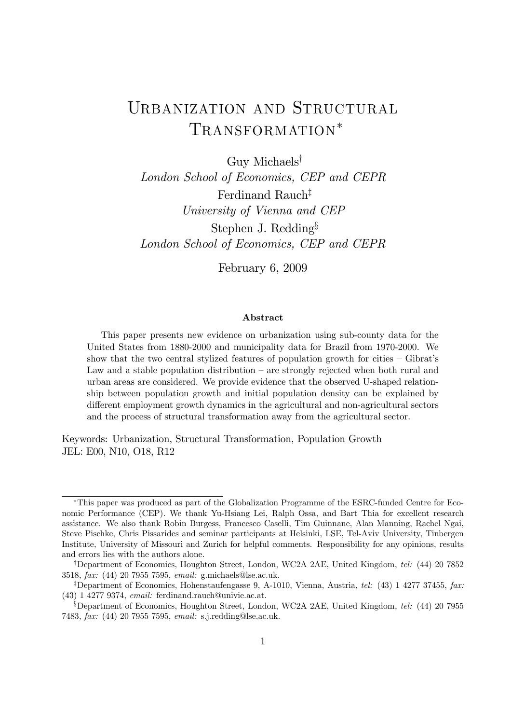# URBANIZATION AND STRUCTURAL TRANSFORMATION<sup>\*</sup>

Guy Michaels†

London School of Economics, CEP and CEPR Ferdinand Rauch‡ University of Vienna and CEP Stephen J. Redding§ London School of Economics, CEP and CEPR

February 6, 2009

#### Abstract

This paper presents new evidence on urbanization using sub-county data for the United States from 1880-2000 and municipality data for Brazil from 1970-2000. We show that the two central stylized features of population growth for cities — Gibrat's Law and a stable population distribution – are strongly rejected when both rural and urban areas are considered. We provide evidence that the observed U-shaped relationship between population growth and initial population density can be explained by different employment growth dynamics in the agricultural and non-agricultural sectors and the process of structural transformation away from the agricultural sector.

Keywords: Urbanization, Structural Transformation, Population Growth JEL: E00, N10, O18, R12

<sup>∗</sup>This paper was produced as part of the Globalization Programme of the ESRC-funded Centre for Economic Performance (CEP). We thank Yu-Hsiang Lei, Ralph Ossa, and Bart Thia for excellent research assistance. We also thank Robin Burgess, Francesco Caselli, Tim Guinnane, Alan Manning, Rachel Ngai, Steve Pischke, Chris Pissarides and seminar participants at Helsinki, LSE, Tel-Aviv University, Tinbergen Institute, University of Missouri and Zurich for helpful comments. Responsibility for any opinions, results and errors lies with the authors alone.

<sup>†</sup>Department of Economics, Houghton Street, London, WC2A 2AE, United Kingdom, tel: (44) 20 7852 3518, fax: (44) 20 7955 7595, email: g.michaels@lse.ac.uk.

<sup>&</sup>lt;sup>‡</sup>Department of Economics, Hohenstaufengasse 9, A-1010, Vienna, Austria, *tel:* (43) 1 4277 37455, *fax:* (43) 1 4277 9374, email: ferdinand.rauch@univie.ac.at.

<sup>§</sup>Department of Economics, Houghton Street, London, WC2A 2AE, United Kingdom, tel: (44) 20 7955 7483, fax: (44) 20 7955 7595, email: s.j.redding@lse.ac.uk.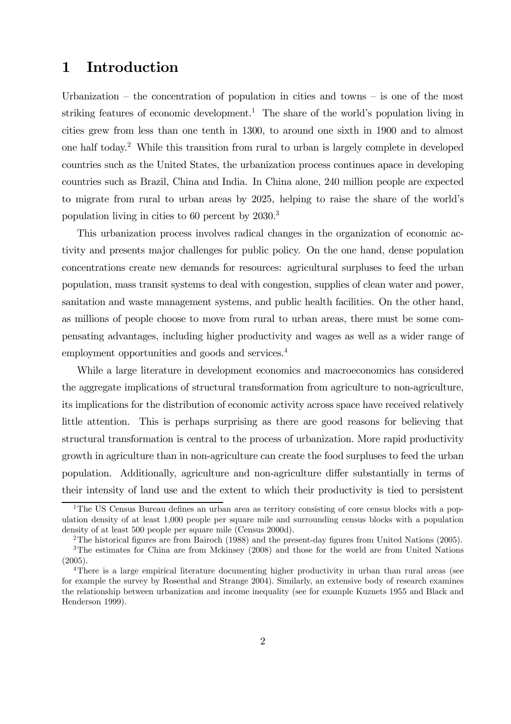# 1 Introduction

Urbanization – the concentration of population in cities and towns – is one of the most striking features of economic development.<sup>1</sup> The share of the world's population living in cities grew from less than one tenth in 1300, to around one sixth in 1900 and to almost one half today.2 While this transition from rural to urban is largely complete in developed countries such as the United States, the urbanization process continues apace in developing countries such as Brazil, China and India. In China alone, 240 million people are expected to migrate from rural to urban areas by 2025, helping to raise the share of the world's population living in cities to 60 percent by 2030.3

This urbanization process involves radical changes in the organization of economic activity and presents major challenges for public policy. On the one hand, dense population concentrations create new demands for resources: agricultural surpluses to feed the urban population, mass transit systems to deal with congestion, supplies of clean water and power, sanitation and waste management systems, and public health facilities. On the other hand, as millions of people choose to move from rural to urban areas, there must be some compensating advantages, including higher productivity and wages as well as a wider range of employment opportunities and goods and services.<sup>4</sup>

While a large literature in development economics and macroeconomics has considered the aggregate implications of structural transformation from agriculture to non-agriculture, its implications for the distribution of economic activity across space have received relatively little attention. This is perhaps surprising as there are good reasons for believing that structural transformation is central to the process of urbanization. More rapid productivity growth in agriculture than in non-agriculture can create the food surpluses to feed the urban population. Additionally, agriculture and non-agriculture differ substantially in terms of their intensity of land use and the extent to which their productivity is tied to persistent

<sup>&</sup>lt;sup>1</sup>The US Census Bureau defines an urban area as territory consisting of core census blocks with a population density of at least 1,000 people per square mile and surrounding census blocks with a population density of at least 500 people per square mile (Census 2000d).

<sup>2</sup>The historical figures are from Bairoch (1988) and the present-day figures from United Nations (2005).

<sup>&</sup>lt;sup>3</sup>The estimates for China are from Mckinsey (2008) and those for the world are from United Nations (2005).

<sup>&</sup>lt;sup>4</sup>There is a large empirical literature documenting higher productivity in urban than rural areas (see for example the survey by Rosenthal and Strange 2004). Similarly, an extensive body of research examines the relationship between urbanization and income inequality (see for example Kuznets 1955 and Black and Henderson 1999).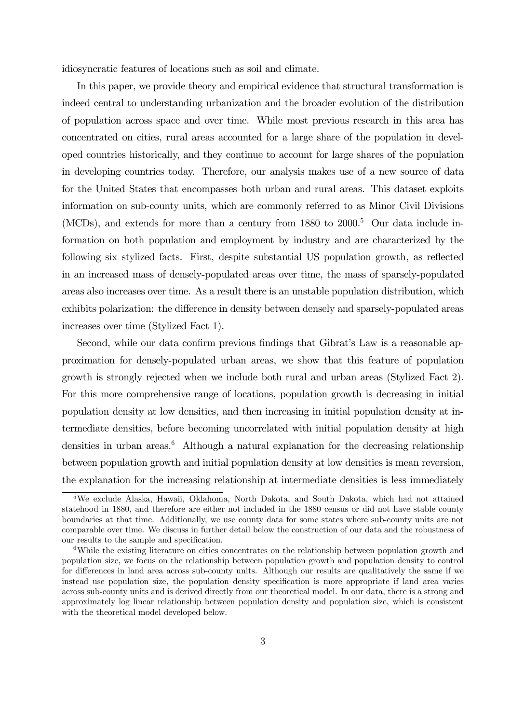idiosyncratic features of locations such as soil and climate.

In this paper, we provide theory and empirical evidence that structural transformation is indeed central to understanding urbanization and the broader evolution of the distribution of population across space and over time. While most previous research in this area has concentrated on cities, rural areas accounted for a large share of the population in developed countries historically, and they continue to account for large shares of the population in developing countries today. Therefore, our analysis makes use of a new source of data for the United States that encompasses both urban and rural areas. This dataset exploits information on sub-county units, which are commonly referred to as Minor Civil Divisions (MCDs), and extends for more than a century from  $1880$  to  $2000$ <sup>5</sup>. Our data include information on both population and employment by industry and are characterized by the following six stylized facts. First, despite substantial US population growth, as reflected in an increased mass of densely-populated areas over time, the mass of sparsely-populated areas also increases over time. As a result there is an unstable population distribution, which exhibits polarization: the difference in density between densely and sparsely-populated areas increases over time (Stylized Fact 1).

Second, while our data confirm previous findings that Gibrat's Law is a reasonable approximation for densely-populated urban areas, we show that this feature of population growth is strongly rejected when we include both rural and urban areas (Stylized Fact 2). For this more comprehensive range of locations, population growth is decreasing in initial population density at low densities, and then increasing in initial population density at intermediate densities, before becoming uncorrelated with initial population density at high densities in urban areas.<sup>6</sup> Although a natural explanation for the decreasing relationship between population growth and initial population density at low densities is mean reversion, the explanation for the increasing relationship at intermediate densities is less immediately

<sup>5</sup>We exclude Alaska, Hawaii, Oklahoma, North Dakota, and South Dakota, which had not attained statehood in 1880, and therefore are either not included in the 1880 census or did not have stable county boundaries at that time. Additionally, we use county data for some states where sub-county units are not comparable over time. We discuss in further detail below the construction of our data and the robustness of our results to the sample and specification.

<sup>&</sup>lt;sup>6</sup>While the existing literature on cities concentrates on the relationship between population growth and population size, we focus on the relationship between population growth and population density to control for differences in land area across sub-county units. Although our results are qualitatively the same if we instead use population size, the population density specification is more appropriate if land area varies across sub-county units and is derived directly from our theoretical model. In our data, there is a strong and approximately log linear relationship between population density and population size, which is consistent with the theoretical model developed below.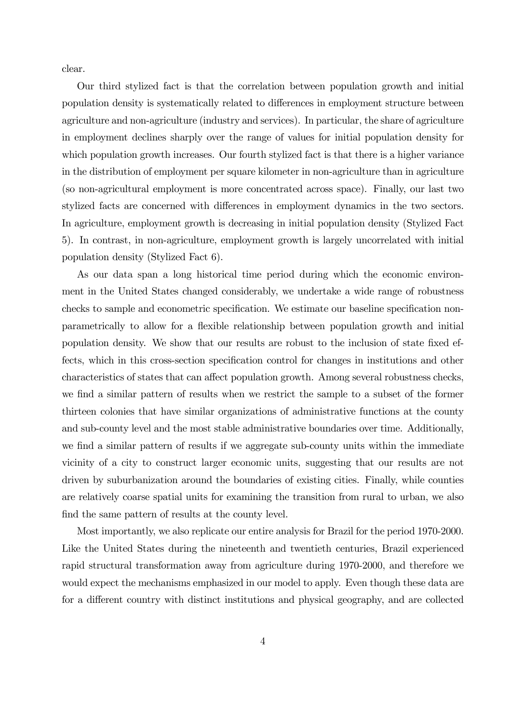clear.

Our third stylized fact is that the correlation between population growth and initial population density is systematically related to differences in employment structure between agriculture and non-agriculture (industry and services). In particular, the share of agriculture in employment declines sharply over the range of values for initial population density for which population growth increases. Our fourth stylized fact is that there is a higher variance in the distribution of employment per square kilometer in non-agriculture than in agriculture (so non-agricultural employment is more concentrated across space). Finally, our last two stylized facts are concerned with differences in employment dynamics in the two sectors. In agriculture, employment growth is decreasing in initial population density (Stylized Fact 5). In contrast, in non-agriculture, employment growth is largely uncorrelated with initial population density (Stylized Fact 6).

As our data span a long historical time period during which the economic environment in the United States changed considerably, we undertake a wide range of robustness checks to sample and econometric specification. We estimate our baseline specification nonparametrically to allow for a flexible relationship between population growth and initial population density. We show that our results are robust to the inclusion of state fixed effects, which in this cross-section specification control for changes in institutions and other characteristics of states that can affect population growth. Among several robustness checks, we find a similar pattern of results when we restrict the sample to a subset of the former thirteen colonies that have similar organizations of administrative functions at the county and sub-county level and the most stable administrative boundaries over time. Additionally, we find a similar pattern of results if we aggregate sub-county units within the immediate vicinity of a city to construct larger economic units, suggesting that our results are not driven by suburbanization around the boundaries of existing cities. Finally, while counties are relatively coarse spatial units for examining the transition from rural to urban, we also find the same pattern of results at the county level.

Most importantly, we also replicate our entire analysis for Brazil for the period 1970-2000. Like the United States during the nineteenth and twentieth centuries, Brazil experienced rapid structural transformation away from agriculture during 1970-2000, and therefore we would expect the mechanisms emphasized in our model to apply. Even though these data are for a different country with distinct institutions and physical geography, and are collected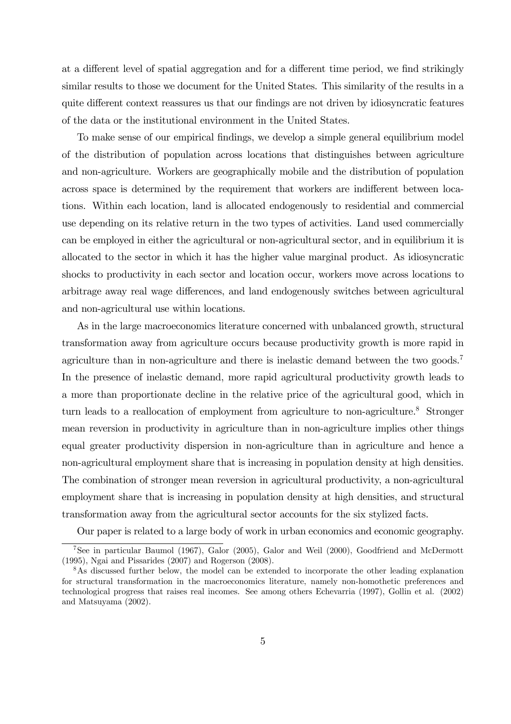at a different level of spatial aggregation and for a different time period, we find strikingly similar results to those we document for the United States. This similarity of the results in a quite different context reassures us that our findings are not driven by idiosyncratic features of the data or the institutional environment in the United States.

To make sense of our empirical findings, we develop a simple general equilibrium model of the distribution of population across locations that distinguishes between agriculture and non-agriculture. Workers are geographically mobile and the distribution of population across space is determined by the requirement that workers are indifferent between locations. Within each location, land is allocated endogenously to residential and commercial use depending on its relative return in the two types of activities. Land used commercially can be employed in either the agricultural or non-agricultural sector, and in equilibrium it is allocated to the sector in which it has the higher value marginal product. As idiosyncratic shocks to productivity in each sector and location occur, workers move across locations to arbitrage away real wage differences, and land endogenously switches between agricultural and non-agricultural use within locations.

As in the large macroeconomics literature concerned with unbalanced growth, structural transformation away from agriculture occurs because productivity growth is more rapid in agriculture than in non-agriculture and there is inelastic demand between the two goods.<sup>7</sup> In the presence of inelastic demand, more rapid agricultural productivity growth leads to a more than proportionate decline in the relative price of the agricultural good, which in turn leads to a reallocation of employment from agriculture to non-agriculture.<sup>8</sup> Stronger mean reversion in productivity in agriculture than in non-agriculture implies other things equal greater productivity dispersion in non-agriculture than in agriculture and hence a non-agricultural employment share that is increasing in population density at high densities. The combination of stronger mean reversion in agricultural productivity, a non-agricultural employment share that is increasing in population density at high densities, and structural transformation away from the agricultural sector accounts for the six stylized facts.

Our paper is related to a large body of work in urban economics and economic geography.

<sup>7</sup>See in particular Baumol (1967), Galor (2005), Galor and Weil (2000), Goodfriend and McDermott (1995), Ngai and Pissarides (2007) and Rogerson (2008).

<sup>&</sup>lt;sup>8</sup>As discussed further below, the model can be extended to incorporate the other leading explanation for structural transformation in the macroeconomics literature, namely non-homothetic preferences and technological progress that raises real incomes. See among others Echevarria (1997), Gollin et al. (2002) and Matsuyama (2002).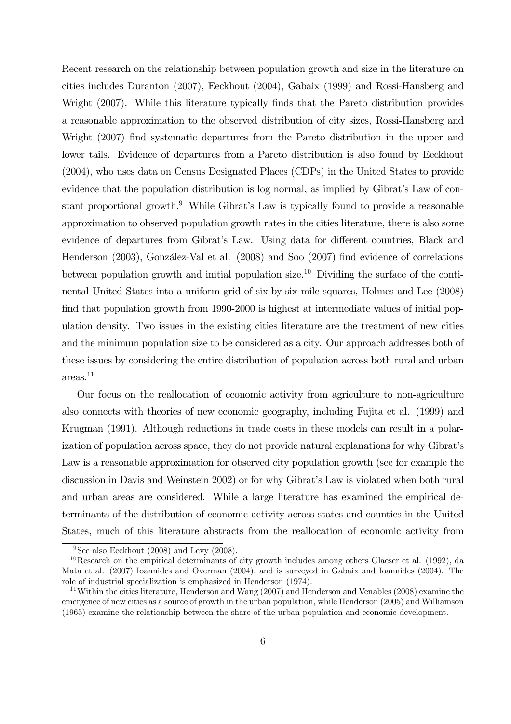Recent research on the relationship between population growth and size in the literature on cities includes Duranton (2007), Eeckhout (2004), Gabaix (1999) and Rossi-Hansberg and Wright (2007). While this literature typically finds that the Pareto distribution provides a reasonable approximation to the observed distribution of city sizes, Rossi-Hansberg and Wright (2007) find systematic departures from the Pareto distribution in the upper and lower tails. Evidence of departures from a Pareto distribution is also found by Eeckhout (2004), who uses data on Census Designated Places (CDPs) in the United States to provide evidence that the population distribution is log normal, as implied by Gibrat's Law of constant proportional growth.<sup>9</sup> While Gibrat's Law is typically found to provide a reasonable approximation to observed population growth rates in the cities literature, there is also some evidence of departures from Gibrat's Law. Using data for different countries, Black and Henderson (2003), González-Val et al. (2008) and Soo (2007) find evidence of correlations between population growth and initial population size.<sup>10</sup> Dividing the surface of the continental United States into a uniform grid of six-by-six mile squares, Holmes and Lee (2008) find that population growth from 1990-2000 is highest at intermediate values of initial population density. Two issues in the existing cities literature are the treatment of new cities and the minimum population size to be considered as a city. Our approach addresses both of these issues by considering the entire distribution of population across both rural and urban areas.11

Our focus on the reallocation of economic activity from agriculture to non-agriculture also connects with theories of new economic geography, including Fujita et al. (1999) and Krugman (1991). Although reductions in trade costs in these models can result in a polarization of population across space, they do not provide natural explanations for why Gibrat's Law is a reasonable approximation for observed city population growth (see for example the discussion in Davis and Weinstein 2002) or for why Gibrat's Law is violated when both rural and urban areas are considered. While a large literature has examined the empirical determinants of the distribution of economic activity across states and counties in the United States, much of this literature abstracts from the reallocation of economic activity from

<sup>&</sup>lt;sup>9</sup>See also Eeckhout (2008) and Levy (2008).

 $10$ Research on the empirical determinants of city growth includes among others Glaeser et al. (1992), da Mata et al. (2007) Ioannides and Overman (2004), and is surveyed in Gabaix and Ioannides (2004). The role of industrial specialization is emphasized in Henderson (1974).

<sup>&</sup>lt;sup>11</sup>Within the cities literature, Henderson and Wang (2007) and Henderson and Venables (2008) examine the emergence of new cities as a source of growth in the urban population, while Henderson (2005) and Williamson (1965) examine the relationship between the share of the urban population and economic development.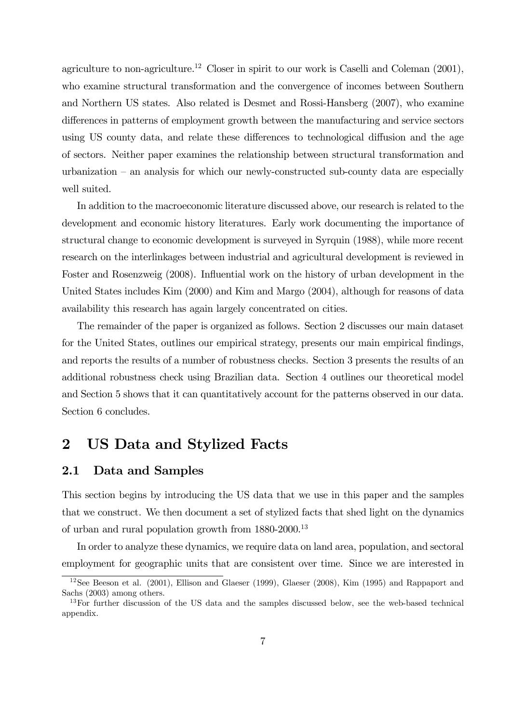agriculture to non-agriculture.<sup>12</sup> Closer in spirit to our work is Caselli and Coleman  $(2001)$ , who examine structural transformation and the convergence of incomes between Southern and Northern US states. Also related is Desmet and Rossi-Hansberg (2007), who examine differences in patterns of employment growth between the manufacturing and service sectors using US county data, and relate these differences to technological diffusion and the age of sectors. Neither paper examines the relationship between structural transformation and urbanization — an analysis for which our newly-constructed sub-county data are especially well suited.

In addition to the macroeconomic literature discussed above, our research is related to the development and economic history literatures. Early work documenting the importance of structural change to economic development is surveyed in Syrquin (1988), while more recent research on the interlinkages between industrial and agricultural development is reviewed in Foster and Rosenzweig (2008). Influential work on the history of urban development in the United States includes Kim (2000) and Kim and Margo (2004), although for reasons of data availability this research has again largely concentrated on cities.

The remainder of the paper is organized as follows. Section 2 discusses our main dataset for the United States, outlines our empirical strategy, presents our main empirical findings, and reports the results of a number of robustness checks. Section 3 presents the results of an additional robustness check using Brazilian data. Section 4 outlines our theoretical model and Section 5 shows that it can quantitatively account for the patterns observed in our data. Section 6 concludes.

# 2 US Data and Stylized Facts

### 2.1 Data and Samples

This section begins by introducing the US data that we use in this paper and the samples that we construct. We then document a set of stylized facts that shed light on the dynamics of urban and rural population growth from 1880-2000.<sup>13</sup>

In order to analyze these dynamics, we require data on land area, population, and sectoral employment for geographic units that are consistent over time. Since we are interested in

<sup>12</sup>See Beeson et al. (2001), Ellison and Glaeser (1999), Glaeser (2008), Kim (1995) and Rappaport and Sachs (2003) among others.

<sup>&</sup>lt;sup>13</sup>For further discussion of the US data and the samples discussed below, see the web-based technical appendix.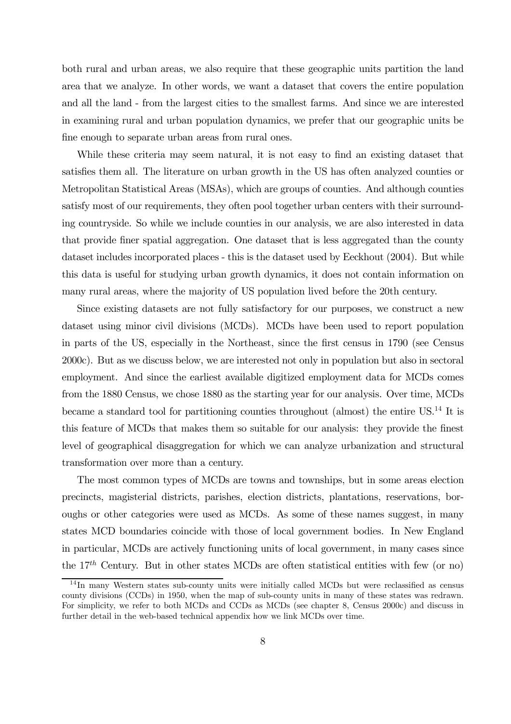both rural and urban areas, we also require that these geographic units partition the land area that we analyze. In other words, we want a dataset that covers the entire population and all the land - from the largest cities to the smallest farms. And since we are interested in examining rural and urban population dynamics, we prefer that our geographic units be fine enough to separate urban areas from rural ones.

While these criteria may seem natural, it is not easy to find an existing dataset that satisfies them all. The literature on urban growth in the US has often analyzed counties or Metropolitan Statistical Areas (MSAs), which are groups of counties. And although counties satisfy most of our requirements, they often pool together urban centers with their surrounding countryside. So while we include counties in our analysis, we are also interested in data that provide finer spatial aggregation. One dataset that is less aggregated than the county dataset includes incorporated places - this is the dataset used by Eeckhout (2004). But while this data is useful for studying urban growth dynamics, it does not contain information on many rural areas, where the majority of US population lived before the 20th century.

Since existing datasets are not fully satisfactory for our purposes, we construct a new dataset using minor civil divisions (MCDs). MCDs have been used to report population in parts of the US, especially in the Northeast, since the first census in 1790 (see Census 2000c). But as we discuss below, we are interested not only in population but also in sectoral employment. And since the earliest available digitized employment data for MCDs comes from the 1880 Census, we chose 1880 as the starting year for our analysis. Over time, MCDs became a standard tool for partitioning counties throughout (almost) the entire US.14 It is this feature of MCDs that makes them so suitable for our analysis: they provide the finest level of geographical disaggregation for which we can analyze urbanization and structural transformation over more than a century.

The most common types of MCDs are towns and townships, but in some areas election precincts, magisterial districts, parishes, election districts, plantations, reservations, boroughs or other categories were used as MCDs. As some of these names suggest, in many states MCD boundaries coincide with those of local government bodies. In New England in particular, MCDs are actively functioning units of local government, in many cases since the  $17<sup>th</sup>$  Century. But in other states MCDs are often statistical entities with few (or no)

<sup>14</sup> In many Western states sub-county units were initially called MCDs but were reclassified as census county divisions (CCDs) in 1950, when the map of sub-county units in many of these states was redrawn. For simplicity, we refer to both MCDs and CCDs as MCDs (see chapter 8, Census 2000c) and discuss in further detail in the web-based technical appendix how we link MCDs over time.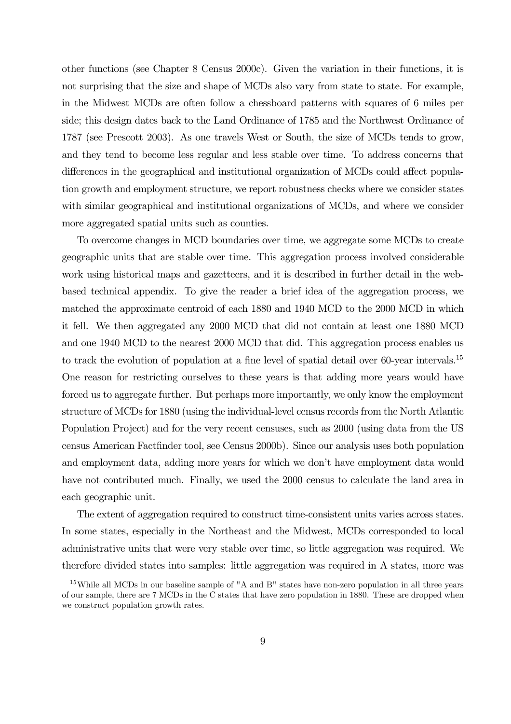other functions (see Chapter 8 Census 2000c). Given the variation in their functions, it is not surprising that the size and shape of MCDs also vary from state to state. For example, in the Midwest MCDs are often follow a chessboard patterns with squares of 6 miles per side; this design dates back to the Land Ordinance of 1785 and the Northwest Ordinance of 1787 (see Prescott 2003). As one travels West or South, the size of MCDs tends to grow, and they tend to become less regular and less stable over time. To address concerns that differences in the geographical and institutional organization of MCDs could affect population growth and employment structure, we report robustness checks where we consider states with similar geographical and institutional organizations of MCDs, and where we consider more aggregated spatial units such as counties.

To overcome changes in MCD boundaries over time, we aggregate some MCDs to create geographic units that are stable over time. This aggregation process involved considerable work using historical maps and gazetteers, and it is described in further detail in the webbased technical appendix. To give the reader a brief idea of the aggregation process, we matched the approximate centroid of each 1880 and 1940 MCD to the 2000 MCD in which it fell. We then aggregated any 2000 MCD that did not contain at least one 1880 MCD and one 1940 MCD to the nearest 2000 MCD that did. This aggregation process enables us to track the evolution of population at a fine level of spatial detail over 60-year intervals.<sup>15</sup> One reason for restricting ourselves to these years is that adding more years would have forced us to aggregate further. But perhaps more importantly, we only know the employment structure of MCDs for 1880 (using the individual-level census records from the North Atlantic Population Project) and for the very recent censuses, such as 2000 (using data from the US census American Factfinder tool, see Census 2000b). Since our analysis uses both population and employment data, adding more years for which we don't have employment data would have not contributed much. Finally, we used the 2000 census to calculate the land area in each geographic unit.

The extent of aggregation required to construct time-consistent units varies across states. In some states, especially in the Northeast and the Midwest, MCDs corresponded to local administrative units that were very stable over time, so little aggregation was required. We therefore divided states into samples: little aggregation was required in A states, more was

<sup>&</sup>lt;sup>15</sup>While all MCDs in our baseline sample of "A and B" states have non-zero population in all three years of our sample, there are 7 MCDs in the C states that have zero population in 1880. These are dropped when we construct population growth rates.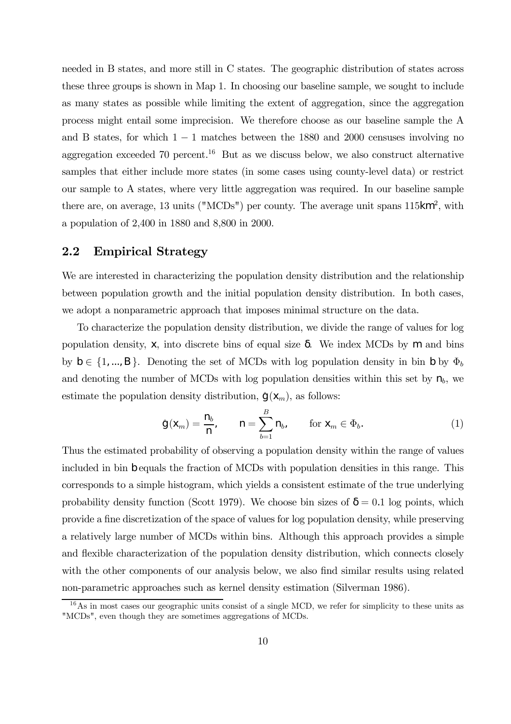needed in B states, and more still in C states. The geographic distribution of states across these three groups is shown in Map 1. In choosing our baseline sample, we sought to include as many states as possible while limiting the extent of aggregation, since the aggregation process might entail some imprecision. We therefore choose as our baseline sample the A and B states, for which  $1 - 1$  matches between the 1880 and 2000 censuses involving no aggregation exceeded 70 percent.<sup>16</sup> But as we discuss below, we also construct alternative samples that either include more states (in some cases using county-level data) or restrict our sample to A states, where very little aggregation was required. In our baseline sample there are, on average, 13 units ("MCDs") per county. The average unit spans  $115 \text{km}^2$ , with a population of 2,400 in 1880 and 8,800 in 2000.

### 2.2 Empirical Strategy

We are interested in characterizing the population density distribution and the relationship between population growth and the initial population density distribution. In both cases, we adopt a nonparametric approach that imposes minimal structure on the data.

To characterize the population density distribution, we divide the range of values for log population density, x, into discrete bins of equal size . We index MCDs by m and bins by  $b \in \{1, ..., B\}$ . Denoting the set of MCDs with log population density in bin b by  $\Phi_b$ and denoting the number of MCDs with log population densities within this set by  $n_b$ , we estimate the population density distribution,  $\hat{g}(x_m)$ , as follows:

$$
\hat{\mathbf{g}}(\mathbf{x}_m) = \frac{\mathbf{n}_b}{\mathbf{n}}, \qquad \mathbf{n} = \sum_{b=1}^B \mathbf{n}_b, \qquad \text{for } \mathbf{x}_m \in \Phi_b.
$$
 (1)

Thus the estimated probability of observing a population density within the range of values included in bin b equals the fraction of MCDs with population densities in this range. This corresponds to a simple histogram, which yields a consistent estimate of the true underlying probability density function (Scott 1979). We choose bin sizes of  $= 0.1$  log points, which provide a fine discretization of the space of values for log population density, while preserving a relatively large number of MCDs within bins. Although this approach provides a simple and flexible characterization of the population density distribution, which connects closely with the other components of our analysis below, we also find similar results using related non-parametric approaches such as kernel density estimation (Silverman 1986).

 $16\,\text{As}$  in most cases our geographic units consist of a single MCD, we refer for simplicity to these units as "MCDs", even though they are sometimes aggregations of MCDs.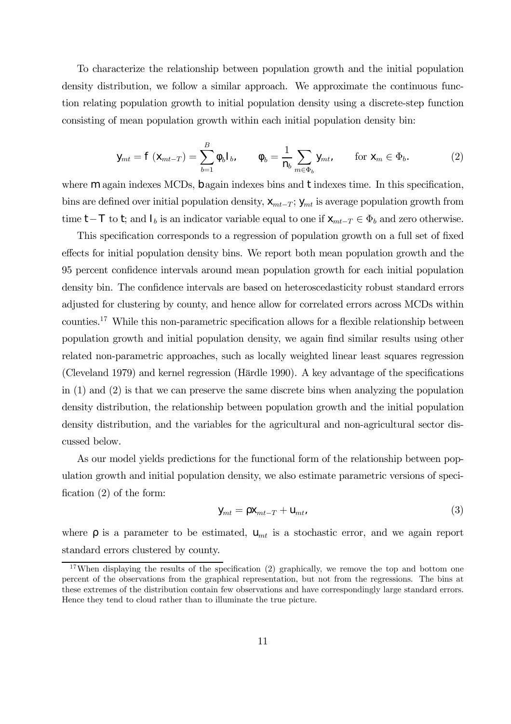To characterize the relationship between population growth and the initial population density distribution, we follow a similar approach. We approximate the continuous function relating population growth to initial population density using a discrete-step function consisting of mean population growth within each initial population density bin:

$$
y_{mt} = f(x_{mt-T}) = \sum_{b=1}^{B} b b_b, \qquad b = \frac{1}{n_b} \sum_{m \in \Phi_b} y_{mt}, \qquad \text{for } x_m \in \Phi_b.
$$
 (2)

where m again indexes MCDs, b again indexes bins and t indexes time. In this specification, bins are defined over initial population density,  $x_{mt-T}$ ;  $y_{mt}$  is average population growth from time t−T to t; and  $I_b$  is an indicator variable equal to one if  $X_{mt-T} \in \Phi_b$  and zero otherwise.

This specification corresponds to a regression of population growth on a full set of fixed effects for initial population density bins. We report both mean population growth and the 95 percent confidence intervals around mean population growth for each initial population density bin. The confidence intervals are based on heteroscedasticity robust standard errors adjusted for clustering by county, and hence allow for correlated errors across MCDs within counties.17 While this non-parametric specification allows for a flexible relationship between population growth and initial population density, we again find similar results using other related non-parametric approaches, such as locally weighted linear least squares regression (Cleveland 1979) and kernel regression (Härdle 1990). A key advantage of the specifications in (1) and (2) is that we can preserve the same discrete bins when analyzing the population density distribution, the relationship between population growth and the initial population density distribution, and the variables for the agricultural and non-agricultural sector discussed below.

As our model yields predictions for the functional form of the relationship between population growth and initial population density, we also estimate parametric versions of specification (2) of the form:

$$
y_{mt} = x_{mt-T} + u_{mt} \tag{3}
$$

where is a parameter to be estimated,  $U_{mt}$  is a stochastic error, and we again report standard errors clustered by county.

<sup>&</sup>lt;sup>17</sup>When displaying the results of the specification  $(2)$  graphically, we remove the top and bottom one percent of the observations from the graphical representation, but not from the regressions. The bins at these extremes of the distribution contain few observations and have correspondingly large standard errors. Hence they tend to cloud rather than to illuminate the true picture.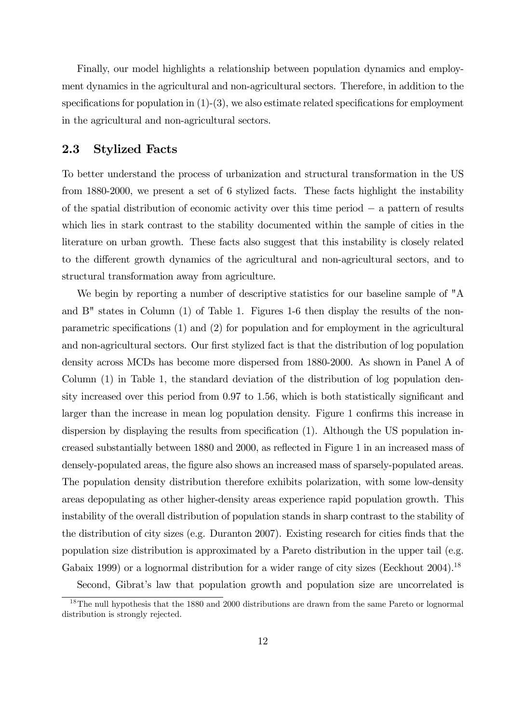Finally, our model highlights a relationship between population dynamics and employment dynamics in the agricultural and non-agricultural sectors. Therefore, in addition to the specifications for population in  $(1)-(3)$ , we also estimate related specifications for employment in the agricultural and non-agricultural sectors.

### 2.3 Stylized Facts

To better understand the process of urbanization and structural transformation in the US from 1880-2000, we present a set of 6 stylized facts. These facts highlight the instability of the spatial distribution of economic activity over this time period − a pattern of results which lies in stark contrast to the stability documented within the sample of cities in the literature on urban growth. These facts also suggest that this instability is closely related to the different growth dynamics of the agricultural and non-agricultural sectors, and to structural transformation away from agriculture.

We begin by reporting a number of descriptive statistics for our baseline sample of "A and B" states in Column (1) of Table 1. Figures 1-6 then display the results of the nonparametric specifications (1) and (2) for population and for employment in the agricultural and non-agricultural sectors. Our first stylized fact is that the distribution of log population density across MCDs has become more dispersed from 1880-2000. As shown in Panel A of Column (1) in Table 1, the standard deviation of the distribution of log population density increased over this period from 0.97 to 1.56, which is both statistically significant and larger than the increase in mean log population density. Figure 1 confirms this increase in dispersion by displaying the results from specification (1). Although the US population increased substantially between 1880 and 2000, as reflected in Figure 1 in an increased mass of densely-populated areas, the figure also shows an increased mass of sparsely-populated areas. The population density distribution therefore exhibits polarization, with some low-density areas depopulating as other higher-density areas experience rapid population growth. This instability of the overall distribution of population stands in sharp contrast to the stability of the distribution of city sizes (e.g. Duranton 2007). Existing research for cities finds that the population size distribution is approximated by a Pareto distribution in the upper tail (e.g. Gabaix 1999) or a lognormal distribution for a wider range of city sizes (Eeckhout 2004).<sup>18</sup>

Second, Gibrat's law that population growth and population size are uncorrelated is

<sup>&</sup>lt;sup>18</sup>The null hypothesis that the 1880 and 2000 distributions are drawn from the same Pareto or lognormal distribution is strongly rejected.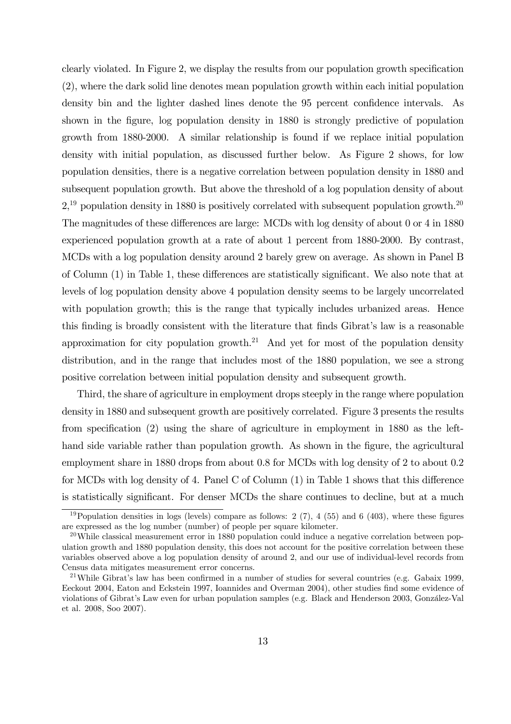clearly violated. In Figure 2, we display the results from our population growth specification (2), where the dark solid line denotes mean population growth within each initial population density bin and the lighter dashed lines denote the 95 percent confidence intervals. As shown in the figure, log population density in 1880 is strongly predictive of population growth from 1880-2000. A similar relationship is found if we replace initial population density with initial population, as discussed further below. As Figure 2 shows, for low population densities, there is a negative correlation between population density in 1880 and subsequent population growth. But above the threshold of a log population density of about  $2<sup>19</sup>$  population density in 1880 is positively correlated with subsequent population growth.<sup>20</sup> The magnitudes of these differences are large: MCDs with log density of about 0 or 4 in 1880 experienced population growth at a rate of about 1 percent from 1880-2000. By contrast, MCDs with a log population density around 2 barely grew on average. As shown in Panel B of Column (1) in Table 1, these differences are statistically significant. We also note that at levels of log population density above 4 population density seems to be largely uncorrelated with population growth; this is the range that typically includes urbanized areas. Hence this finding is broadly consistent with the literature that finds Gibrat's law is a reasonable approximation for city population growth.<sup>21</sup> And yet for most of the population density distribution, and in the range that includes most of the 1880 population, we see a strong positive correlation between initial population density and subsequent growth.

Third, the share of agriculture in employment drops steeply in the range where population density in 1880 and subsequent growth are positively correlated. Figure 3 presents the results from specification (2) using the share of agriculture in employment in 1880 as the lefthand side variable rather than population growth. As shown in the figure, the agricultural employment share in 1880 drops from about 0.8 for MCDs with log density of 2 to about 0.2 for MCDs with log density of 4. Panel C of Column (1) in Table 1 shows that this difference is statistically significant. For denser MCDs the share continues to decline, but at a much

<sup>&</sup>lt;sup>19</sup>Population densities in logs (levels) compare as follows: 2 (7), 4 (55) and 6 (403), where these figures are expressed as the log number (number) of people per square kilometer.

 $20$ While classical measurement error in 1880 population could induce a negative correlation between population growth and 1880 population density, this does not account for the positive correlation between these variables observed above a log population density of around 2, and our use of individual-level records from Census data mitigates measurement error concerns.

<sup>21</sup>While Gibrat's law has been confirmed in a number of studies for several countries (e.g. Gabaix 1999, Eeckout 2004, Eaton and Eckstein 1997, Ioannides and Overman 2004), other studies find some evidence of violations of Gibrat's Law even for urban population samples (e.g. Black and Henderson 2003, González-Val et al. 2008, Soo 2007).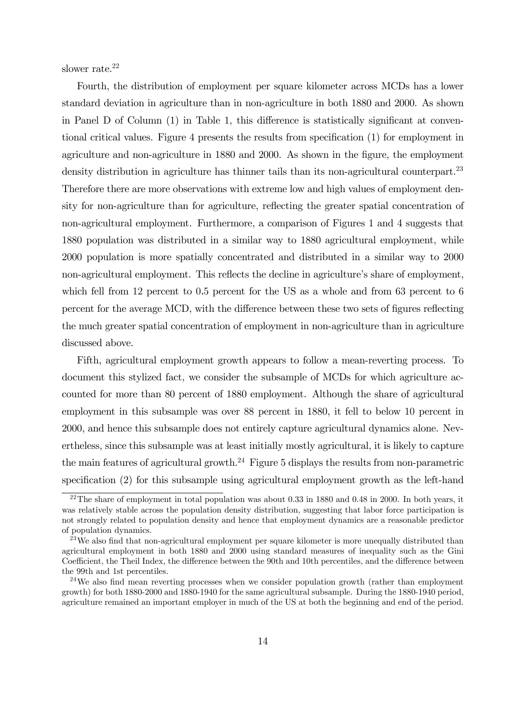slower rate.<sup>22</sup>

Fourth, the distribution of employment per square kilometer across MCDs has a lower standard deviation in agriculture than in non-agriculture in both 1880 and 2000. As shown in Panel D of Column (1) in Table 1, this difference is statistically significant at conventional critical values. Figure 4 presents the results from specification (1) for employment in agriculture and non-agriculture in 1880 and 2000. As shown in the figure, the employment density distribution in agriculture has thinner tails than its non-agricultural counterpart.<sup>23</sup> Therefore there are more observations with extreme low and high values of employment density for non-agriculture than for agriculture, reflecting the greater spatial concentration of non-agricultural employment. Furthermore, a comparison of Figures 1 and 4 suggests that 1880 population was distributed in a similar way to 1880 agricultural employment, while 2000 population is more spatially concentrated and distributed in a similar way to 2000 non-agricultural employment. This reflects the decline in agriculture's share of employment, which fell from 12 percent to 0.5 percent for the US as a whole and from 63 percent to 6 percent for the average MCD, with the difference between these two sets of figures reflecting the much greater spatial concentration of employment in non-agriculture than in agriculture discussed above.

Fifth, agricultural employment growth appears to follow a mean-reverting process. To document this stylized fact, we consider the subsample of MCDs for which agriculture accounted for more than 80 percent of 1880 employment. Although the share of agricultural employment in this subsample was over 88 percent in 1880, it fell to below 10 percent in 2000, and hence this subsample does not entirely capture agricultural dynamics alone. Nevertheless, since this subsample was at least initially mostly agricultural, it is likely to capture the main features of agricultural growth.<sup>24</sup> Figure 5 displays the results from non-parametric specification (2) for this subsample using agricultural employment growth as the left-hand

<sup>&</sup>lt;sup>22</sup>The share of employment in total population was about 0.33 in 1880 and 0.48 in 2000. In both years, it was relatively stable across the population density distribution, suggesting that labor force participation is not strongly related to population density and hence that employment dynamics are a reasonable predictor of population dynamics.

<sup>&</sup>lt;sup>23</sup>We also find that non-agricultural employment per square kilometer is more unequally distributed than agricultural employment in both 1880 and 2000 using standard measures of inequality such as the Gini Coefficient, the Theil Index, the difference between the 90th and 10th percentiles, and the difference between the 99th and 1st percentiles.

<sup>&</sup>lt;sup>24</sup>We also find mean reverting processes when we consider population growth (rather than employment growth) for both 1880-2000 and 1880-1940 for the same agricultural subsample. During the 1880-1940 period, agriculture remained an important employer in much of the US at both the beginning and end of the period.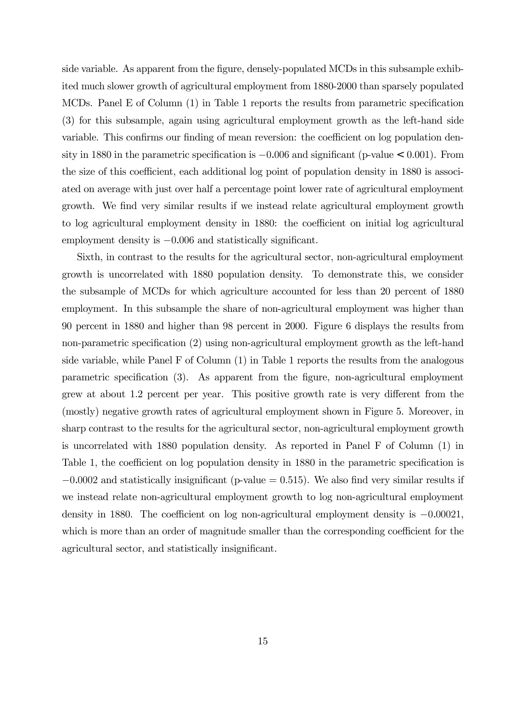side variable. As apparent from the figure, densely-populated MCDs in this subsample exhibited much slower growth of agricultural employment from 1880-2000 than sparsely populated MCDs. Panel E of Column (1) in Table 1 reports the results from parametric specification (3) for this subsample, again using agricultural employment growth as the left-hand side variable. This confirms our finding of mean reversion: the coefficient on log population density in 1880 in the parametric specification is −0.006 and significant (p-value < 0.001). From the size of this coefficient, each additional log point of population density in 1880 is associated on average with just over half a percentage point lower rate of agricultural employment growth. We find very similar results if we instead relate agricultural employment growth to log agricultural employment density in 1880: the coefficient on initial log agricultural employment density is −0.006 and statistically significant.

Sixth, in contrast to the results for the agricultural sector, non-agricultural employment growth is uncorrelated with 1880 population density. To demonstrate this, we consider the subsample of MCDs for which agriculture accounted for less than 20 percent of 1880 employment. In this subsample the share of non-agricultural employment was higher than 90 percent in 1880 and higher than 98 percent in 2000. Figure 6 displays the results from non-parametric specification (2) using non-agricultural employment growth as the left-hand side variable, while Panel F of Column (1) in Table 1 reports the results from the analogous parametric specification (3). As apparent from the figure, non-agricultural employment grew at about 1.2 percent per year. This positive growth rate is very different from the (mostly) negative growth rates of agricultural employment shown in Figure 5. Moreover, in sharp contrast to the results for the agricultural sector, non-agricultural employment growth is uncorrelated with 1880 population density. As reported in Panel F of Column (1) in Table 1, the coefficient on log population density in 1880 in the parametric specification is  $-0.0002$  and statistically insignificant (p-value = 0.515). We also find very similar results if we instead relate non-agricultural employment growth to log non-agricultural employment density in 1880. The coefficient on log non-agricultural employment density is −0.00021, which is more than an order of magnitude smaller than the corresponding coefficient for the agricultural sector, and statistically insignificant.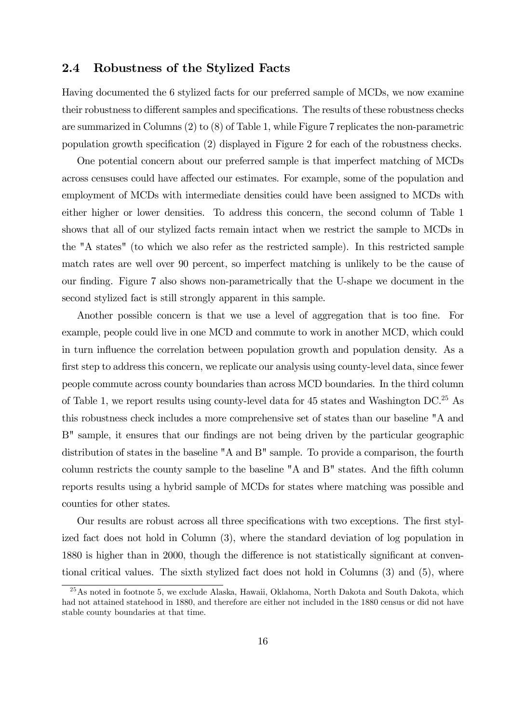### 2.4 Robustness of the Stylized Facts

Having documented the 6 stylized facts for our preferred sample of MCDs, we now examine their robustness to different samples and specifications. The results of these robustness checks are summarized in Columns (2) to (8) of Table 1, while Figure 7 replicates the non-parametric population growth specification (2) displayed in Figure 2 for each of the robustness checks.

One potential concern about our preferred sample is that imperfect matching of MCDs across censuses could have affected our estimates. For example, some of the population and employment of MCDs with intermediate densities could have been assigned to MCDs with either higher or lower densities. To address this concern, the second column of Table 1 shows that all of our stylized facts remain intact when we restrict the sample to MCDs in the "A states" (to which we also refer as the restricted sample). In this restricted sample match rates are well over 90 percent, so imperfect matching is unlikely to be the cause of our finding. Figure 7 also shows non-parametrically that the U-shape we document in the second stylized fact is still strongly apparent in this sample.

Another possible concern is that we use a level of aggregation that is too fine. For example, people could live in one MCD and commute to work in another MCD, which could in turn influence the correlation between population growth and population density. As a first step to address this concern, we replicate our analysis using county-level data, since fewer people commute across county boundaries than across MCD boundaries. In the third column of Table 1, we report results using county-level data for 45 states and Washington DC.25 As this robustness check includes a more comprehensive set of states than our baseline "A and B" sample, it ensures that our findings are not being driven by the particular geographic distribution of states in the baseline "A and B" sample. To provide a comparison, the fourth column restricts the county sample to the baseline "A and B" states. And the fifth column reports results using a hybrid sample of MCDs for states where matching was possible and counties for other states.

Our results are robust across all three specifications with two exceptions. The first stylized fact does not hold in Column (3), where the standard deviation of log population in 1880 is higher than in 2000, though the difference is not statistically significant at conventional critical values. The sixth stylized fact does not hold in Columns (3) and (5), where

<sup>25</sup>As noted in footnote 5, we exclude Alaska, Hawaii, Oklahoma, North Dakota and South Dakota, which had not attained statehood in 1880, and therefore are either not included in the 1880 census or did not have stable county boundaries at that time.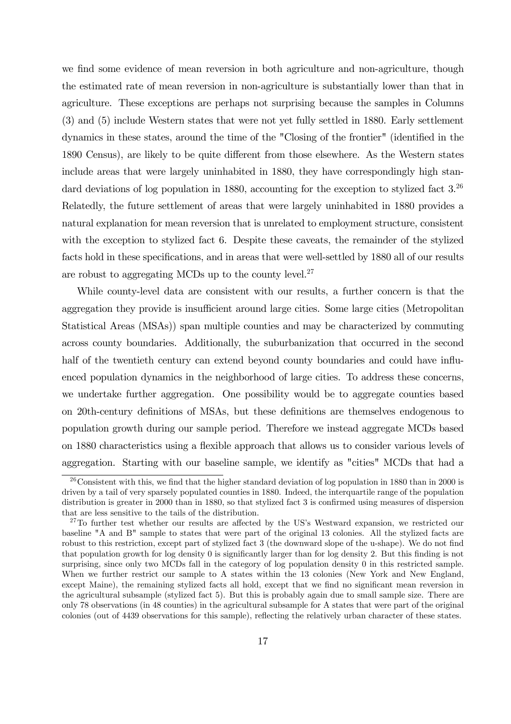we find some evidence of mean reversion in both agriculture and non-agriculture, though the estimated rate of mean reversion in non-agriculture is substantially lower than that in agriculture. These exceptions are perhaps not surprising because the samples in Columns (3) and (5) include Western states that were not yet fully settled in 1880. Early settlement dynamics in these states, around the time of the "Closing of the frontier" (identified in the 1890 Census), are likely to be quite different from those elsewhere. As the Western states include areas that were largely uninhabited in 1880, they have correspondingly high standard deviations of log population in 1880, accounting for the exception to stylized fact 3.<sup>26</sup> Relatedly, the future settlement of areas that were largely uninhabited in 1880 provides a natural explanation for mean reversion that is unrelated to employment structure, consistent with the exception to stylized fact 6. Despite these caveats, the remainder of the stylized facts hold in these specifications, and in areas that were well-settled by 1880 all of our results are robust to aggregating MCDs up to the county level.<sup>27</sup>

While county-level data are consistent with our results, a further concern is that the aggregation they provide is insufficient around large cities. Some large cities (Metropolitan Statistical Areas (MSAs)) span multiple counties and may be characterized by commuting across county boundaries. Additionally, the suburbanization that occurred in the second half of the twentieth century can extend beyond county boundaries and could have influenced population dynamics in the neighborhood of large cities. To address these concerns, we undertake further aggregation. One possibility would be to aggregate counties based on 20th-century definitions of MSAs, but these definitions are themselves endogenous to population growth during our sample period. Therefore we instead aggregate MCDs based on 1880 characteristics using a flexible approach that allows us to consider various levels of aggregation. Starting with our baseline sample, we identify as "cities" MCDs that had a

<sup>&</sup>lt;sup>26</sup> Consistent with this, we find that the higher standard deviation of log population in 1880 than in 2000 is driven by a tail of very sparsely populated counties in 1880. Indeed, the interquartile range of the population distribution is greater in 2000 than in 1880, so that stylized fact 3 is confirmed using measures of dispersion that are less sensitive to the tails of the distribution.

<sup>&</sup>lt;sup>27</sup>To further test whether our results are affected by the US's Westward expansion, we restricted our baseline "A and B" sample to states that were part of the original 13 colonies. All the stylized facts are robust to this restriction, except part of stylized fact 3 (the downward slope of the u-shape). We do not find that population growth for log density 0 is significantly larger than for log density 2. But this finding is not surprising, since only two MCDs fall in the category of log population density 0 in this restricted sample. When we further restrict our sample to A states within the 13 colonies (New York and New England, except Maine), the remaining stylized facts all hold, except that we find no significant mean reversion in the agricultural subsample (stylized fact 5). But this is probably again due to small sample size. There are only 78 observations (in 48 counties) in the agricultural subsample for A states that were part of the original colonies (out of 4439 observations for this sample), reflecting the relatively urban character of these states.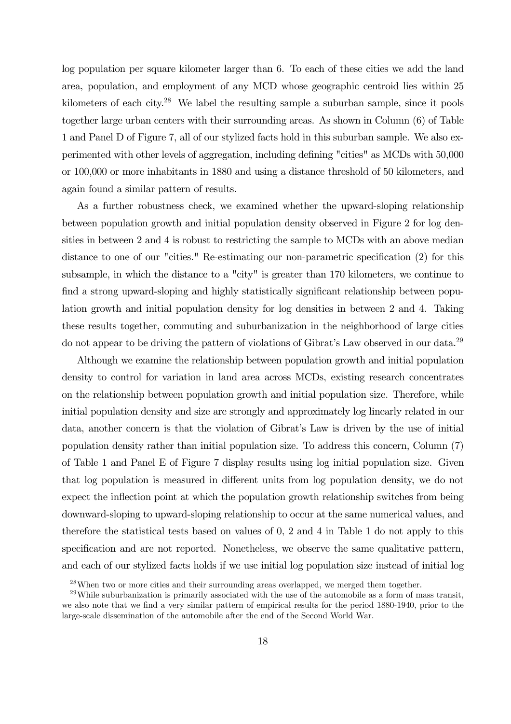log population per square kilometer larger than 6. To each of these cities we add the land area, population, and employment of any MCD whose geographic centroid lies within 25 kilometers of each city.28 We label the resulting sample a suburban sample, since it pools together large urban centers with their surrounding areas. As shown in Column (6) of Table 1 and Panel D of Figure 7, all of our stylized facts hold in this suburban sample. We also experimented with other levels of aggregation, including defining "cities" as MCDs with 50,000 or 100,000 or more inhabitants in 1880 and using a distance threshold of 50 kilometers, and again found a similar pattern of results.

As a further robustness check, we examined whether the upward-sloping relationship between population growth and initial population density observed in Figure 2 for log densities in between 2 and 4 is robust to restricting the sample to MCDs with an above median distance to one of our "cities." Re-estimating our non-parametric specification (2) for this subsample, in which the distance to a "city" is greater than 170 kilometers, we continue to find a strong upward-sloping and highly statistically significant relationship between population growth and initial population density for log densities in between 2 and 4. Taking these results together, commuting and suburbanization in the neighborhood of large cities do not appear to be driving the pattern of violations of Gibrat's Law observed in our data.<sup>29</sup>

Although we examine the relationship between population growth and initial population density to control for variation in land area across MCDs, existing research concentrates on the relationship between population growth and initial population size. Therefore, while initial population density and size are strongly and approximately log linearly related in our data, another concern is that the violation of Gibrat's Law is driven by the use of initial population density rather than initial population size. To address this concern, Column (7) of Table 1 and Panel E of Figure 7 display results using log initial population size. Given that log population is measured in different units from log population density, we do not expect the inflection point at which the population growth relationship switches from being downward-sloping to upward-sloping relationship to occur at the same numerical values, and therefore the statistical tests based on values of 0, 2 and 4 in Table 1 do not apply to this specification and are not reported. Nonetheless, we observe the same qualitative pattern, and each of our stylized facts holds if we use initial log population size instead of initial log

<sup>28</sup>When two or more cities and their surrounding areas overlapped, we merged them together.

 $29$ While suburbanization is primarily associated with the use of the automobile as a form of mass transit, we also note that we find a very similar pattern of empirical results for the period 1880-1940, prior to the large-scale dissemination of the automobile after the end of the Second World War.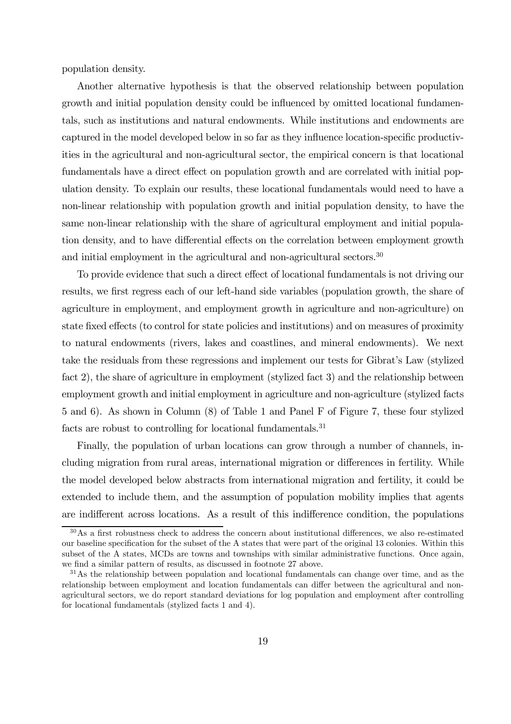population density.

Another alternative hypothesis is that the observed relationship between population growth and initial population density could be influenced by omitted locational fundamentals, such as institutions and natural endowments. While institutions and endowments are captured in the model developed below in so far as they influence location-specific productivities in the agricultural and non-agricultural sector, the empirical concern is that locational fundamentals have a direct effect on population growth and are correlated with initial population density. To explain our results, these locational fundamentals would need to have a non-linear relationship with population growth and initial population density, to have the same non-linear relationship with the share of agricultural employment and initial population density, and to have differential effects on the correlation between employment growth and initial employment in the agricultural and non-agricultural sectors.<sup>30</sup>

To provide evidence that such a direct effect of locational fundamentals is not driving our results, we first regress each of our left-hand side variables (population growth, the share of agriculture in employment, and employment growth in agriculture and non-agriculture) on state fixed effects (to control for state policies and institutions) and on measures of proximity to natural endowments (rivers, lakes and coastlines, and mineral endowments). We next take the residuals from these regressions and implement our tests for Gibrat's Law (stylized fact 2), the share of agriculture in employment (stylized fact 3) and the relationship between employment growth and initial employment in agriculture and non-agriculture (stylized facts 5 and 6). As shown in Column (8) of Table 1 and Panel F of Figure 7, these four stylized facts are robust to controlling for locational fundamentals.<sup>31</sup>

Finally, the population of urban locations can grow through a number of channels, including migration from rural areas, international migration or differences in fertility. While the model developed below abstracts from international migration and fertility, it could be extended to include them, and the assumption of population mobility implies that agents are indifferent across locations. As a result of this indifference condition, the populations

 $30\,\text{As}$  a first robustness check to address the concern about institutional differences, we also re-estimated our baseline specification for the subset of the A states that were part of the original 13 colonies. Within this subset of the A states, MCDs are towns and townships with similar administrative functions. Once again, we find a similar pattern of results, as discussed in footnote 27 above.

 $31\text{As}$  the relationship between population and locational fundamentals can change over time, and as the relationship between employment and location fundamentals can differ between the agricultural and nonagricultural sectors, we do report standard deviations for log population and employment after controlling for locational fundamentals (stylized facts 1 and 4).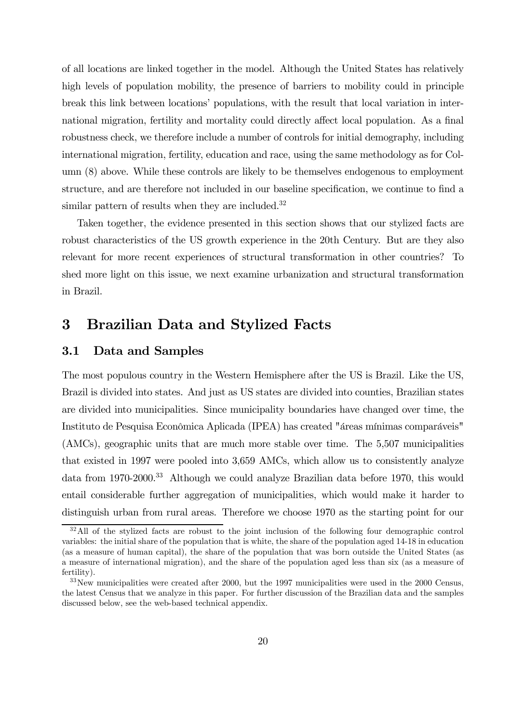of all locations are linked together in the model. Although the United States has relatively high levels of population mobility, the presence of barriers to mobility could in principle break this link between locations' populations, with the result that local variation in international migration, fertility and mortality could directly affect local population. As a final robustness check, we therefore include a number of controls for initial demography, including international migration, fertility, education and race, using the same methodology as for Column (8) above. While these controls are likely to be themselves endogenous to employment structure, and are therefore not included in our baseline specification, we continue to find a similar pattern of results when they are included.<sup>32</sup>

Taken together, the evidence presented in this section shows that our stylized facts are robust characteristics of the US growth experience in the 20th Century. But are they also relevant for more recent experiences of structural transformation in other countries? To shed more light on this issue, we next examine urbanization and structural transformation in Brazil.

# 3 Brazilian Data and Stylized Facts

#### 3.1 Data and Samples

The most populous country in the Western Hemisphere after the US is Brazil. Like the US, Brazil is divided into states. And just as US states are divided into counties, Brazilian states are divided into municipalities. Since municipality boundaries have changed over time, the Instituto de Pesquisa Econômica Aplicada (IPEA) has created "áreas mínimas comparáveis" (AMCs), geographic units that are much more stable over time. The 5,507 municipalities that existed in 1997 were pooled into 3,659 AMCs, which allow us to consistently analyze data from 1970-2000.33 Although we could analyze Brazilian data before 1970, this would entail considerable further aggregation of municipalities, which would make it harder to distinguish urban from rural areas. Therefore we choose 1970 as the starting point for our

<sup>&</sup>lt;sup>32</sup>All of the stylized facts are robust to the joint inclusion of the following four demographic control variables: the initial share of the population that is white, the share of the population aged 14-18 in education (as a measure of human capital), the share of the population that was born outside the United States (as a measure of international migration), and the share of the population aged less than six (as a measure of fertility).

<sup>33</sup>New municipalities were created after 2000, but the 1997 municipalities were used in the 2000 Census, the latest Census that we analyze in this paper. For further discussion of the Brazilian data and the samples discussed below, see the web-based technical appendix.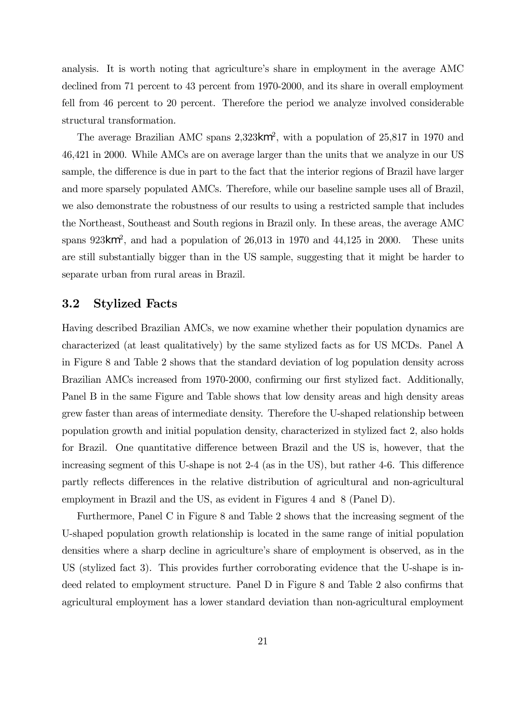analysis. It is worth noting that agriculture's share in employment in the average AMC declined from 71 percent to 43 percent from 1970-2000, and its share in overall employment fell from 46 percent to 20 percent. Therefore the period we analyze involved considerable structural transformation.

The average Brazilian AMC spans 2,323km<sup>2</sup>, with a population of 25,817 in 1970 and 46,421 in 2000. While AMCs are on average larger than the units that we analyze in our US sample, the difference is due in part to the fact that the interior regions of Brazil have larger and more sparsely populated AMCs. Therefore, while our baseline sample uses all of Brazil, we also demonstrate the robustness of our results to using a restricted sample that includes the Northeast, Southeast and South regions in Brazil only. In these areas, the average AMC spans  $923km^2$ , and had a population of  $26,013$  in 1970 and  $44,125$  in 2000. These units are still substantially bigger than in the US sample, suggesting that it might be harder to separate urban from rural areas in Brazil.

#### 3.2 Stylized Facts

Having described Brazilian AMCs, we now examine whether their population dynamics are characterized (at least qualitatively) by the same stylized facts as for US MCDs. Panel A in Figure 8 and Table 2 shows that the standard deviation of log population density across Brazilian AMCs increased from 1970-2000, confirming our first stylized fact. Additionally, Panel B in the same Figure and Table shows that low density areas and high density areas grew faster than areas of intermediate density. Therefore the U-shaped relationship between population growth and initial population density, characterized in stylized fact 2, also holds for Brazil. One quantitative difference between Brazil and the US is, however, that the increasing segment of this U-shape is not 2-4 (as in the US), but rather 4-6. This difference partly reflects differences in the relative distribution of agricultural and non-agricultural employment in Brazil and the US, as evident in Figures 4 and 8 (Panel D).

Furthermore, Panel C in Figure 8 and Table 2 shows that the increasing segment of the U-shaped population growth relationship is located in the same range of initial population densities where a sharp decline in agriculture's share of employment is observed, as in the US (stylized fact 3). This provides further corroborating evidence that the U-shape is indeed related to employment structure. Panel D in Figure 8 and Table 2 also confirms that agricultural employment has a lower standard deviation than non-agricultural employment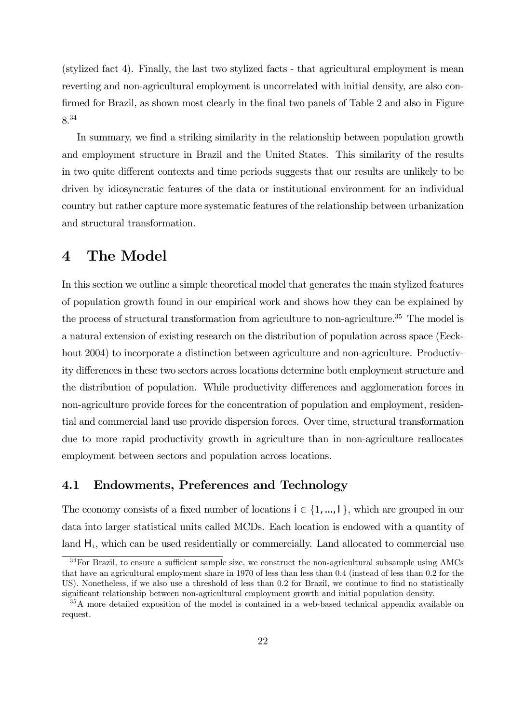(stylized fact 4). Finally, the last two stylized facts - that agricultural employment is mean reverting and non-agricultural employment is uncorrelated with initial density, are also confirmed for Brazil, as shown most clearly in the final two panels of Table 2 and also in Figure 8.34

In summary, we find a striking similarity in the relationship between population growth and employment structure in Brazil and the United States. This similarity of the results in two quite different contexts and time periods suggests that our results are unlikely to be driven by idiosyncratic features of the data or institutional environment for an individual country but rather capture more systematic features of the relationship between urbanization and structural transformation.

## 4 The Model

In this section we outline a simple theoretical model that generates the main stylized features of population growth found in our empirical work and shows how they can be explained by the process of structural transformation from agriculture to non-agriculture.<sup>35</sup> The model is a natural extension of existing research on the distribution of population across space (Eeckhout 2004) to incorporate a distinction between agriculture and non-agriculture. Productivity differences in these two sectors across locations determine both employment structure and the distribution of population. While productivity differences and agglomeration forces in non-agriculture provide forces for the concentration of population and employment, residential and commercial land use provide dispersion forces. Over time, structural transformation due to more rapid productivity growth in agriculture than in non-agriculture reallocates employment between sectors and population across locations.

### 4.1 Endowments, Preferences and Technology

The economy consists of a fixed number of locations  $i \in \{1, ..., l\}$ , which are grouped in our data into larger statistical units called MCDs. Each location is endowed with a quantity of land  $H_i$ , which can be used residentially or commercially. Land allocated to commercial use

<sup>&</sup>lt;sup>34</sup>For Brazil, to ensure a sufficient sample size, we construct the non-agricultural subsample using AMCs that have an agricultural employment share in 1970 of less than less than 0.4 (instead of less than 0.2 for the US). Nonetheless, if we also use a threshold of less than 0.2 for Brazil, we continue to find no statistically significant relationship between non-agricultural employment growth and initial population density.

<sup>&</sup>lt;sup>35</sup>A more detailed exposition of the model is contained in a web-based technical appendix available on request.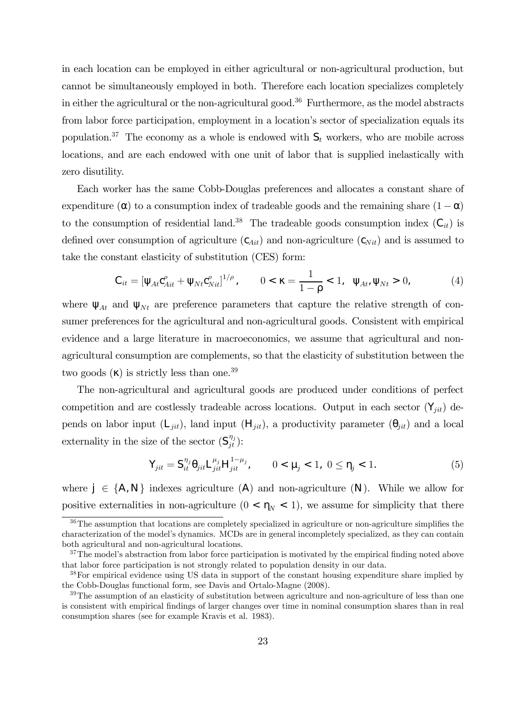in each location can be employed in either agricultural or non-agricultural production, but cannot be simultaneously employed in both. Therefore each location specializes completely in either the agricultural or the non-agricultural good.<sup>36</sup> Furthermore, as the model abstracts from labor force participation, employment in a location's sector of specialization equals its population.<sup>37</sup> The economy as a whole is endowed with  $S_t$  workers, who are mobile across locations, and are each endowed with one unit of labor that is supplied inelastically with zero disutility.

Each worker has the same Cobb-Douglas preferences and allocates a constant share of expenditure ( $\cdot$ ) to a consumption index of tradeable goods and the remaining share  $(1 - \cdot)$ to the consumption of residential land.<sup>38</sup> The tradeable goods consumption index  $(C_{it})$  is defined over consumption of agriculture  $(c_{Ai}$ ) and non-agriculture  $(c_{Ni})$  and is assumed to take the constant elasticity of substitution (CES) form:

$$
C_{it} = \left[ \begin{array}{cc} {}_{At}c_{Ait}^{\rho} + {}_{Nt}c_{Nit}^{\rho} \end{array} \right]^{1/\rho}, \qquad 0 < \rho = \frac{1}{1 - \rho} < 1, \qquad {}_{At'} \quad {}_{Nt} > 0, \tag{4}
$$

where  $_{At}$  and  $_{Nt}$  are preference parameters that capture the relative strength of consumer preferences for the agricultural and non-agricultural goods. Consistent with empirical evidence and a large literature in macroeconomics, we assume that agricultural and nonagricultural consumption are complements, so that the elasticity of substitution between the two goods  $($ ) is strictly less than one.<sup>39</sup>

The non-agricultural and agricultural goods are produced under conditions of perfect competition and are costlessly tradeable across locations. Output in each sector  $(Y_{jit})$  depends on labor input  $(L_{jit})$ , land input  $(H_{jit})$ , a productivity parameter  $(i_{jit})$  and a local externality in the size of the sector  $(S_{jt}^{\eta_j})$ :

$$
\mathsf{Y}_{jit} = \mathsf{S}_{it}^{\eta_j} \quad \text{j} \quad \mathsf{it} \, \mathsf{L}_{jit}^{\mu_j} \mathsf{H}_{jit}^{1-\mu_j}, \qquad 0 < \mu_j < 1, \ 0 \leq \quad j < 1. \tag{5}
$$

where  $j \in \{A, N\}$  indexes agriculture  $(A)$  and non-agriculture  $(N)$ . While we allow for positive externalities in non-agriculture  $(0 < N < 1)$ , we assume for simplicity that there

<sup>&</sup>lt;sup>36</sup>The assumption that locations are completely specialized in agriculture or non-agriculture simplifies the characterization of the model's dynamics. MCDs are in general incompletely specialized, as they can contain both agricultural and non-agricultural locations.

<sup>&</sup>lt;sup>37</sup>The model's abstraction from labor force participation is motivated by the empirical finding noted above that labor force participation is not strongly related to population density in our data.

<sup>&</sup>lt;sup>38</sup>For empirical evidence using US data in support of the constant housing expenditure share implied by the Cobb-Douglas functional form, see Davis and Ortalo-Magne (2008).

 $39$ The assumption of an elasticity of substitution between agriculture and non-agriculture of less than one is consistent with empirical findings of larger changes over time in nominal consumption shares than in real consumption shares (see for example Kravis et al. 1983).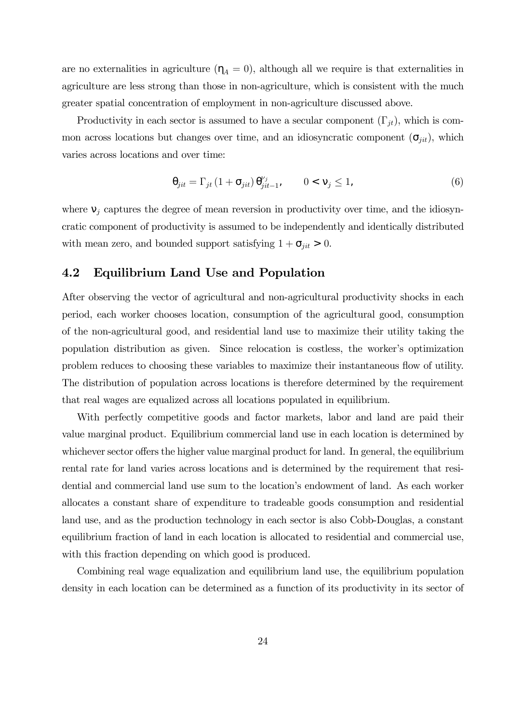are no externalities in agriculture ( $_A = 0$ ), although all we require is that externalities in agriculture are less strong than those in non-agriculture, which is consistent with the much greater spatial concentration of employment in non-agriculture discussed above.

Productivity in each sector is assumed to have a secular component  $(\Gamma_{jt})$ , which is common across locations but changes over time, and an idiosyncratic component  $(-jit)$ , which varies across locations and over time:

$$
_{jit} = \Gamma_{jt} (1 + i/2) \frac{\nu_j}{jit - 1}, \qquad 0 < j \le 1,
$$
 (6)

where  $j$  captures the degree of mean reversion in productivity over time, and the idiosyncratic component of productivity is assumed to be independently and identically distributed with mean zero, and bounded support satisfying  $1 + i<sub>jit</sub> > 0$ .

### 4.2 Equilibrium Land Use and Population

After observing the vector of agricultural and non-agricultural productivity shocks in each period, each worker chooses location, consumption of the agricultural good, consumption of the non-agricultural good, and residential land use to maximize their utility taking the population distribution as given. Since relocation is costless, the worker's optimization problem reduces to choosing these variables to maximize their instantaneous flow of utility. The distribution of population across locations is therefore determined by the requirement that real wages are equalized across all locations populated in equilibrium.

With perfectly competitive goods and factor markets, labor and land are paid their value marginal product. Equilibrium commercial land use in each location is determined by whichever sector offers the higher value marginal product for land. In general, the equilibrium rental rate for land varies across locations and is determined by the requirement that residential and commercial land use sum to the location's endowment of land. As each worker allocates a constant share of expenditure to tradeable goods consumption and residential land use, and as the production technology in each sector is also Cobb-Douglas, a constant equilibrium fraction of land in each location is allocated to residential and commercial use, with this fraction depending on which good is produced.

Combining real wage equalization and equilibrium land use, the equilibrium population density in each location can be determined as a function of its productivity in its sector of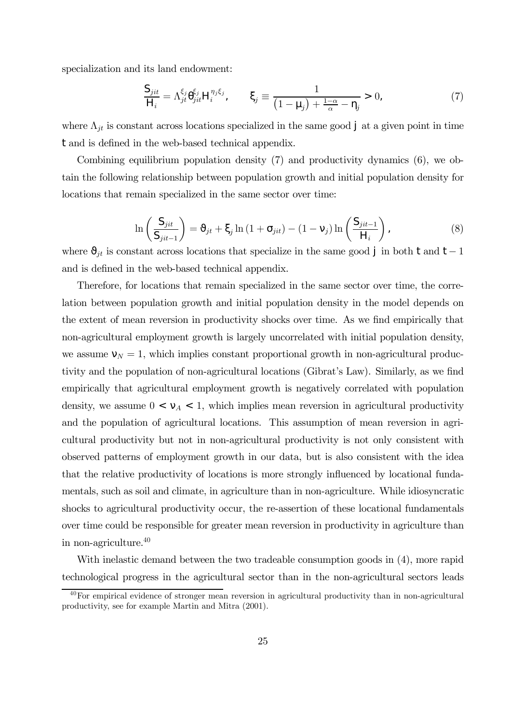specialization and its land endowment:

$$
\frac{\mathsf{S}_{jit}}{\mathsf{H}_i} = \Lambda_{jt}^{\xi_j} \frac{\xi_j}{jit} \mathsf{H}_i^{\eta_j \xi_j}, \qquad j \equiv \frac{1}{\left(1 - \mu_j\right) + \frac{1 - \alpha}{\alpha} - j} > 0,\tag{7}
$$

where  $\Lambda_{jt}$  is constant across locations specialized in the same good j at a given point in time t and is defined in the web-based technical appendix.

Combining equilibrium population density (7) and productivity dynamics (6), we obtain the following relationship between population growth and initial population density for locations that remain specialized in the same sector over time:

$$
\ln\left(\frac{S_{jit}}{S_{jit-1}}\right) = j_t + j \ln\left(1 + j_{it}\right) - \left(1 - j\right) \ln\left(\frac{S_{jit-1}}{H_i}\right),\tag{8}
$$

where  $_{jt}$  is constant across locations that specialize in the same good j in both t and t − 1 and is defined in the web-based technical appendix.

Therefore, for locations that remain specialized in the same sector over time, the correlation between population growth and initial population density in the model depends on the extent of mean reversion in productivity shocks over time. As we find empirically that non-agricultural employment growth is largely uncorrelated with initial population density, we assume  $N = 1$ , which implies constant proportional growth in non-agricultural productivity and the population of non-agricultural locations (Gibrat's Law). Similarly, as we find empirically that agricultural employment growth is negatively correlated with population density, we assume  $0 < a < 1$ , which implies mean reversion in agricultural productivity and the population of agricultural locations. This assumption of mean reversion in agricultural productivity but not in non-agricultural productivity is not only consistent with observed patterns of employment growth in our data, but is also consistent with the idea that the relative productivity of locations is more strongly influenced by locational fundamentals, such as soil and climate, in agriculture than in non-agriculture. While idiosyncratic shocks to agricultural productivity occur, the re-assertion of these locational fundamentals over time could be responsible for greater mean reversion in productivity in agriculture than in non-agriculture.40

With inelastic demand between the two tradeable consumption goods in (4), more rapid technological progress in the agricultural sector than in the non-agricultural sectors leads

<sup>40</sup>For empirical evidence of stronger mean reversion in agricultural productivity than in non-agricultural productivity, see for example Martin and Mitra (2001).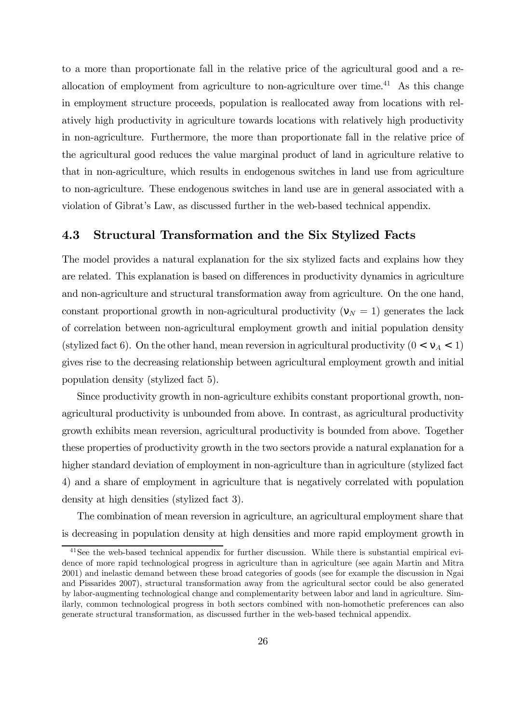to a more than proportionate fall in the relative price of the agricultural good and a reallocation of employment from agriculture to non-agriculture over time.<sup>41</sup> As this change in employment structure proceeds, population is reallocated away from locations with relatively high productivity in agriculture towards locations with relatively high productivity in non-agriculture. Furthermore, the more than proportionate fall in the relative price of the agricultural good reduces the value marginal product of land in agriculture relative to that in non-agriculture, which results in endogenous switches in land use from agriculture to non-agriculture. These endogenous switches in land use are in general associated with a violation of Gibrat's Law, as discussed further in the web-based technical appendix.

### 4.3 Structural Transformation and the Six Stylized Facts

The model provides a natural explanation for the six stylized facts and explains how they are related. This explanation is based on differences in productivity dynamics in agriculture and non-agriculture and structural transformation away from agriculture. On the one hand, constant proportional growth in non-agricultural productivity ( $N = 1$ ) generates the lack of correlation between non-agricultural employment growth and initial population density (stylized fact 6). On the other hand, mean reversion in agricultural productivity  $(0 < A < 1)$ gives rise to the decreasing relationship between agricultural employment growth and initial population density (stylized fact 5).

Since productivity growth in non-agriculture exhibits constant proportional growth, nonagricultural productivity is unbounded from above. In contrast, as agricultural productivity growth exhibits mean reversion, agricultural productivity is bounded from above. Together these properties of productivity growth in the two sectors provide a natural explanation for a higher standard deviation of employment in non-agriculture than in agriculture (stylized fact 4) and a share of employment in agriculture that is negatively correlated with population density at high densities (stylized fact 3).

The combination of mean reversion in agriculture, an agricultural employment share that is decreasing in population density at high densities and more rapid employment growth in

 $41$ See the web-based technical appendix for further discussion. While there is substantial empirical evidence of more rapid technological progress in agriculture than in agriculture (see again Martin and Mitra 2001) and inelastic demand between these broad categories of goods (see for example the discussion in Ngai and Pissarides 2007), structural transformation away from the agricultural sector could be also generated by labor-augmenting technological change and complementarity between labor and land in agriculture. Similarly, common technological progress in both sectors combined with non-homothetic preferences can also generate structural transformation, as discussed further in the web-based technical appendix.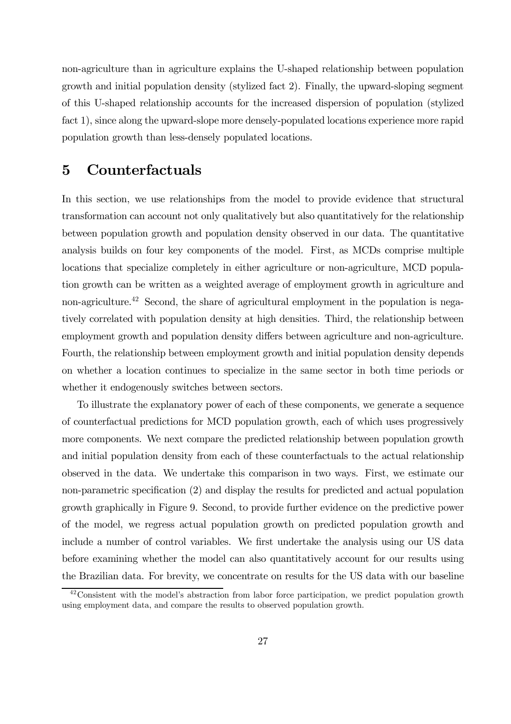non-agriculture than in agriculture explains the U-shaped relationship between population growth and initial population density (stylized fact 2). Finally, the upward-sloping segment of this U-shaped relationship accounts for the increased dispersion of population (stylized fact 1), since along the upward-slope more densely-populated locations experience more rapid population growth than less-densely populated locations.

# 5 Counterfactuals

In this section, we use relationships from the model to provide evidence that structural transformation can account not only qualitatively but also quantitatively for the relationship between population growth and population density observed in our data. The quantitative analysis builds on four key components of the model. First, as MCDs comprise multiple locations that specialize completely in either agriculture or non-agriculture, MCD population growth can be written as a weighted average of employment growth in agriculture and non-agriculture.<sup>42</sup> Second, the share of agricultural employment in the population is negatively correlated with population density at high densities. Third, the relationship between employment growth and population density differs between agriculture and non-agriculture. Fourth, the relationship between employment growth and initial population density depends on whether a location continues to specialize in the same sector in both time periods or whether it endogenously switches between sectors.

To illustrate the explanatory power of each of these components, we generate a sequence of counterfactual predictions for MCD population growth, each of which uses progressively more components. We next compare the predicted relationship between population growth and initial population density from each of these counterfactuals to the actual relationship observed in the data. We undertake this comparison in two ways. First, we estimate our non-parametric specification (2) and display the results for predicted and actual population growth graphically in Figure 9. Second, to provide further evidence on the predictive power of the model, we regress actual population growth on predicted population growth and include a number of control variables. We first undertake the analysis using our US data before examining whether the model can also quantitatively account for our results using the Brazilian data. For brevity, we concentrate on results for the US data with our baseline

 $42$ Consistent with the model's abstraction from labor force participation, we predict population growth using employment data, and compare the results to observed population growth.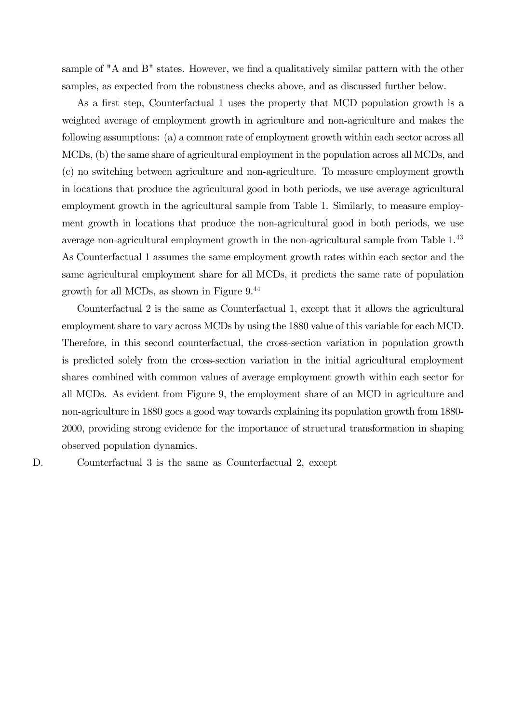sample of "A and B" states. However, we find a qualitatively similar pattern with the other samples, as expected from the robustness checks above, and as discussed further below.

As a first step, Counterfactual 1 uses the property that MCD population growth is a weighted average of employment growth in agriculture and non-agriculture and makes the following assumptions: (a) a common rate of employment growth within each sector across all MCDs, (b) the same share of agricultural employment in the population across all MCDs, and (c) no switching between agriculture and non-agriculture. To measure employment growth in locations that produce the agricultural good in both periods, we use average agricultural employment growth in the agricultural sample from Table 1. Similarly, to measure employment growth in locations that produce the non-agricultural good in both periods, we use average non-agricultural employment growth in the non-agricultural sample from Table 1.43 As Counterfactual 1 assumes the same employment growth rates within each sector and the same agricultural employment share for all MCDs, it predicts the same rate of population growth for all MCDs, as shown in Figure 9.44

Counterfactual 2 is the same as Counterfactual 1, except that it allows the agricultural employment share to vary across MCDs by using the 1880 value of this variable for each MCD. Therefore, in this second counterfactual, the cross-section variation in population growth is predicted solely from the cross-section variation in the initial agricultural employment shares combined with common values of average employment growth within each sector for all MCDs. As evident from Figure 9, the employment share of an MCD in agriculture and non-agriculture in 1880 goes a good way towards explaining its population growth from 1880- 2000, providing strong evidence for the importance of structural transformation in shaping observed population dynamics.

Counterfactual 3 is the same as Counterfa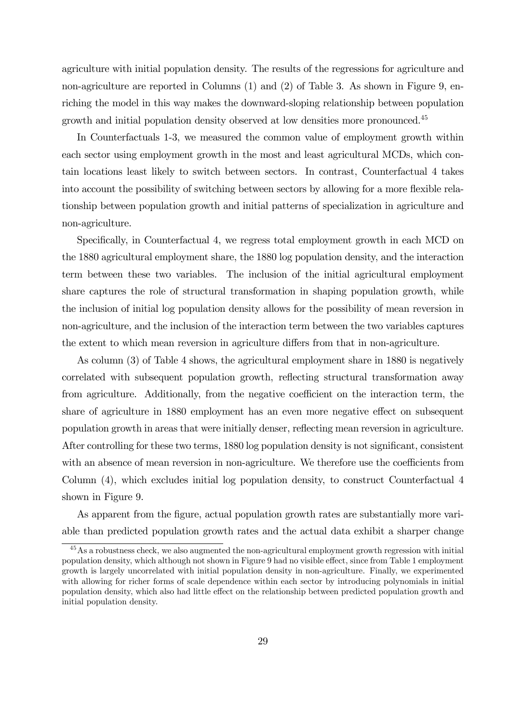agriculture with initial population density. The results of the regressions for agriculture and non-agriculture are reported in Columns (1) and (2) of Table 3. As shown in Figure 9, enriching the model in this way makes the downward-sloping relationship between population growth and initial population density observed at low densities more pronounced.<sup>45</sup>

In Counterfactuals 1-3, we measured the common value of employment growth within each sector using employment growth in the most and least agricultural MCDs, which contain locations least likely to switch between sectors. In contrast, Counterfactual 4 takes into account the possibility of switching between sectors by allowing for a more flexible relationship between population growth and initial patterns of specialization in agriculture and non-agriculture.

Specifically, in Counterfactual 4, we regress total employment growth in each MCD on the 1880 agricultural employment share, the 1880 log population density, and the interaction term between these two variables. The inclusion of the initial agricultural employment share captures the role of structural transformation in shaping population growth, while the inclusion of initial log population density allows for the possibility of mean reversion in non-agriculture, and the inclusion of the interaction term between the two variables captures the extent to which mean reversion in agriculture differs from that in non-agriculture.

As column (3) of Table 4 shows, the agricultural employment share in 1880 is negatively correlated with subsequent population growth, reflecting structural transformation away from agriculture. Additionally, from the negative coefficient on the interaction term, the share of agriculture in 1880 employment has an even more negative effect on subsequent population growth in areas that were initially denser, reflecting mean reversion in agriculture. After controlling for these two terms, 1880 log population density is not significant, consistent with an absence of mean reversion in non-agriculture. We therefore use the coefficients from Column (4), which excludes initial log population density, to construct Counterfactual 4 shown in Figure 9.

As apparent from the figure, actual population growth rates are substantially more variable than predicted population growth rates and the actual data exhibit a sharper change

<sup>&</sup>lt;sup>45</sup>As a robustness check, we also augmented the non-agricultural employment growth regression with initial population density, which although not shown in Figure 9 had no visible effect, since from Table 1 employment growth is largely uncorrelated with initial population density in non-agriculture. Finally, we experimented with allowing for richer forms of scale dependence within each sector by introducing polynomials in initial population density, which also had little effect on the relationship between predicted population growth and initial population density.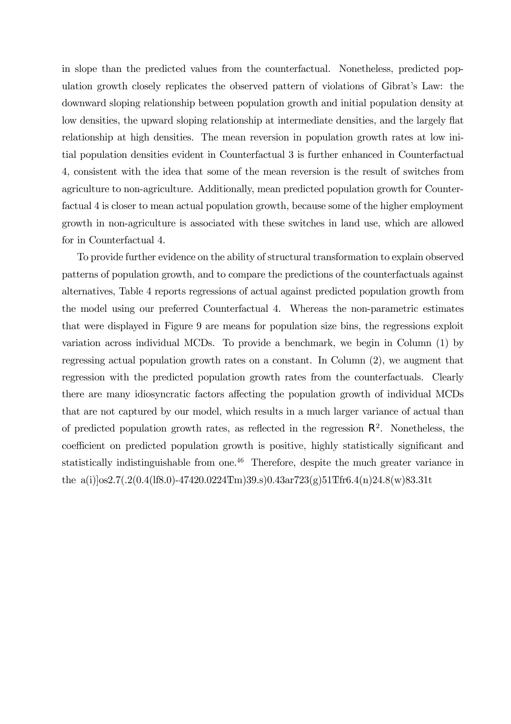in slope than the predicted values from the counterfactual. Nonetheless, predicted population growth closely replicates the observed pattern of violations of Gibrat's Law: the downward sloping relationship between population growth and initial population density at low densities, the upward sloping relationship at intermediate densities, and the largely flat relationship at high densities. The mean reversion in population growth rates at low initial population densities evident in Counterfactual 3 is further enhanced in Counterfactual 4, consistent with the idea that some of the mean reversion is the result of switches from agriculture to non-agriculture. Additionally, mean predicted population growth for Counterfactual 4 is closer to mean actual population growth, because some of the higher employment growth in non-agriculture is associated with these switches in land use, which are allowed for in Counterfactual 4.

To provide further evidence on the ability of structural transformation to explain observed patterns of population growth, and to compare the predictions of the counterfactuals against alternatives, Table 4 reports regressions of actual against predicted population growth from the model using our preferred Counterfactual 4. Whereas the non-parametric estimates that were displayed in Figure 9 are means for population size bins, the regressions exploit variation across individual MCDs. To provide a benchmark, we begin in Column (1) by regressing actual population growth rates on a constant. In Column (2), we augment that regression with the predicted population growth rates from the counterfactuals. Clearly there are many idiosyncratic factors affecting the population growth of individual MCDs that are not captured by our model, which results in a much larger variance of actual than of predicted population growth rates, as reflected in the regression  $\mathbb{R}^2$ . Nonetheless, the coefficient on predicted population growth is positive, highly statistically significant and statistically indistinguishable from one. $46$  Therefore, despite the much greater variance in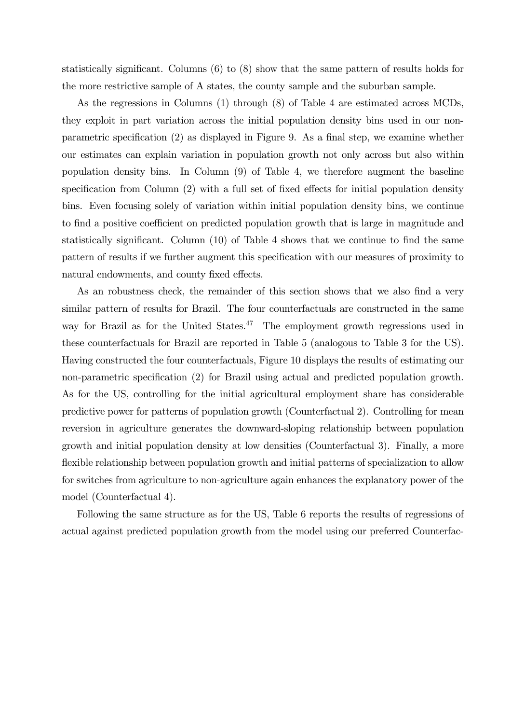statistically significant. Columns (6) to (8) show that the same pattern of results holds for the more restrictive sample of A states, the county sample and the suburban sample.

As the regressions in Columns (1) through (8) of Table 4 are estimated across MCDs, they exploit in part variation across the initial population density bins used in our nonparametric specification (2) as displayed in Figure 9. As a final step, we examine whether our estimates can explain variation in population growth not only across but also within population density bins. In Column (9) of Table 4, we therefore augment the baseline specification from Column (2) with a full set of fixed effects for initial population density bins. Even focusing solely of variation within initial population density bins, we continue to find a positive coefficient on predicted population growth that is large in magnitude and statistically significant. Column (10) of Table 4 shows that we continue to find the same pattern of results if we further augment this specification with our measures of proximity to natural endowments, and county fixed effects.

As an robustness check, the remainder of this section shows that we also find a very similar pattern of results for Brazil. The four counterfactuals are constructed in the same way for Brazil as for the United States. $47$  The employment growth regressions used in these counterfactuals for Brazil are reported in Table 5 (analogous to Table 3 for the US). Having constructed the four counterfactuals, Figure 10 displays the results of estimating our non-parametric specification (2) for Brazil using actual and predicted population growth. As for the US, controlling for the initial agricultural employment share has considerable predictive power for patterns of population growth (Counterfactual 2). Controlling for mean reversion in agriculture generates the downward-sloping relationship between population growth and initial population density at low densities (Counterfactual 3). Finally, a more flexible relationship between population growth and initial patterns of specialization to allow for switches from agriculture to non-agriculture again enhances the explanatory power of the model (Counterfactual 4).

Following the same structure as for the US, Table 6 reports the results of regressions of actual against predicted population growth from the model using our preferred Counterfactual 4. While actual population growth again has a much higher variance than predicted each  $8$  (resso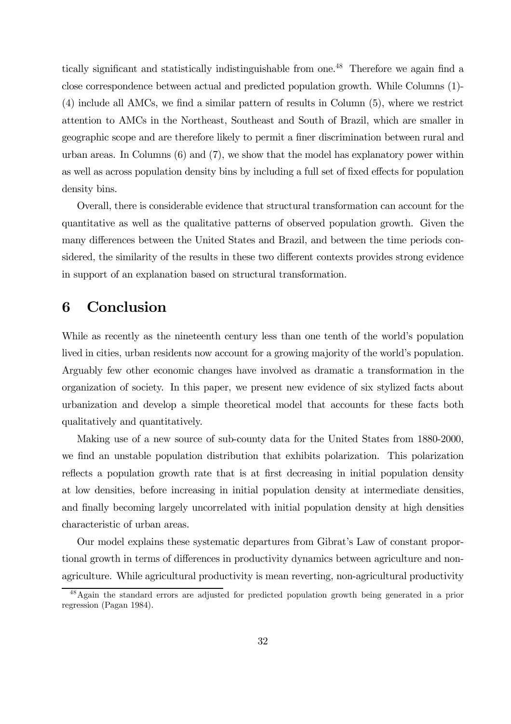tically significant and statistically indistinguishable from one.<sup>48</sup> Therefore we again find a close correspondence between actual and predicted population growth. While Columns (1)- (4) include all AMCs, we find a similar pattern of results in Column (5), where we restrict attention to AMCs in the Northeast, Southeast and South of Brazil, which are smaller in geographic scope and are therefore likely to permit a finer discrimination between rural and urban areas. In Columns (6) and (7), we show that the model has explanatory power within as well as across population density bins by including a full set of fixed effects for population density bins.

Overall, there is considerable evidence that structural transformation can account for the quantitative as well as the qualitative patterns of observed population growth. Given the many differences between the United States and Brazil, and between the time periods considered, the similarity of the results in these two different contexts provides strong evidence in support of an explanation based on structural transformation.

# 6 Conclusion

While as recently as the nineteenth century less than one tenth of the world's population lived in cities, urban residents now account for a growing majority of the world's population. Arguably few other economic changes have involved as dramatic a transformation in the organization of society. In this paper, we present new evidence of six stylized facts about urbanization and develop a simple theoretical model that accounts for these facts both qualitatively and quantitatively.

Making use of a new source of sub-county data for the United States from 1880-2000, we find an unstable population distribution that exhibits polarization. This polarization reflects a population growth rate that is at first decreasing in initial population density at low densities, before increasing in initial population density at intermediate densities, and finally becoming largely uncorrelated with initial population density at high densities characteristic of urban areas.

Our model explains these systematic departures from Gibrat's Law of constant proportional growth in terms of differences in productivity dynamics between agriculture and nonagriculture. While agricultural productivity is mean reverting, non-agricultural productivity

<sup>48</sup>Again the standard errors are adjusted for predicted population growth being generated in a prior regression (Pagan 1984).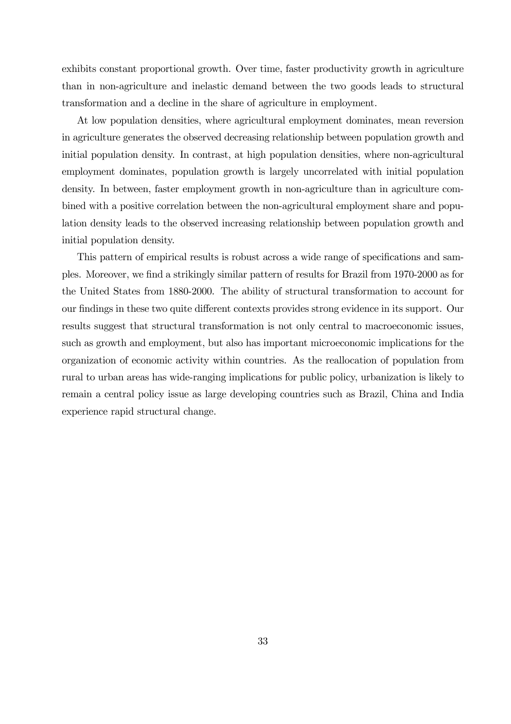exhibits constant proportional growth. Over time, faster productivity growth in agriculture than in non-agriculture and inelastic demand between the two goods leads to structural transformation and a decline in the share of agriculture in employment.

At low population densities, where agricultural employment dominates, mean reversion in agriculture generates the observed decreasing relationship between population growth and initial population density. In contrast, at high population densities, where non-agricultural employment dominates, population growth is largely uncorrelated with initial population density. In between, faster employment growth in non-agriculture than in agriculture combined with a positive correlation between the non-agricultural employment share and population density leads to the observed increasing relationship between population growth and initial population density.

This pattern of empirical results is robust across a wide range of specifications and samples. Moreover, we find a strikingly similar pattern of results for Brazil from 1970-2000 as for the United States from 1880-2000. The ability of structural transformation to account for our findings in these two quite different contexts provides strong evidence in its support. Our results suggest that structural transformation is not only central to macroeconomic issues, such as growth and employment, but also has important microeconomic implications for the organization of economic activity within countries. As the reallocation of population from rural to urban areas has wide-ranging implications for public policy, urbanization is likely to remain a central policy issue as large developing countries such as Brazil, China and India experience rapid structural change.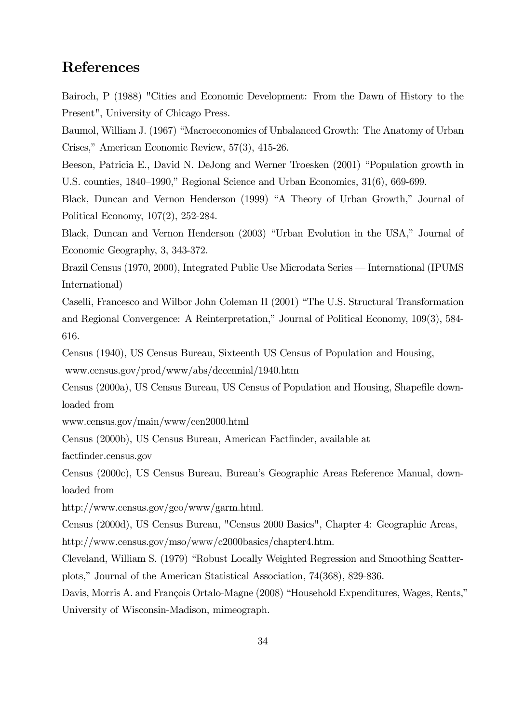# References

Bairoch, P (1988) "Cities and Economic Development: From the Dawn of History to the Present", University of Chicago Press.

Baumol, William J. (1967) "Macroeconomics of Unbalanced Growth: The Anatomy of Urban Crises," American Economic Review, 57(3), 415-26.

Beeson, Patricia E., David N. DeJong and Werner Troesken (2001) "Population growth in U.S. counties, 1840—1990," Regional Science and Urban Economics, 31(6), 669-699.

Black, Duncan and Vernon Henderson (1999) "A Theory of Urban Growth," Journal of Political Economy, 107(2), 252-284.

Black, Duncan and Vernon Henderson (2003) "Urban Evolution in the USA," Journal of Economic Geography, 3, 343-372.

Brazil Census (1970, 2000), Integrated Public Use Microdata Series – International (IPUMS International)

Caselli, Francesco and Wilbor John Coleman II (2001) "The U.S. Structural Transformation and Regional Convergence: A Reinterpretation," Journal of Political Economy, 109(3), 584- 616.

Census (1940), US Census Bureau, Sixteenth US Census of Population and Housing, www.census.gov/prod/www/abs/decennial/1940.htm

Census (2000a), US Census Bureau, US Census of Population and Housing, Shapefile downloaded from

www.census.gov/main/www/cen2000.html

Census (2000b), US Census Bureau, American Factfinder, available at

factfinder.census.gov

Census (2000c), US Census Bureau, Bureau's Geographic Areas Reference Manual, downloaded from

http://www.census.gov/geo/www/garm.html.

Census (2000d), US Census Bureau, "Census 2000 Basics", Chapter 4: Geographic Areas, http://www.census.gov/mso/www/c2000basics/chapter4.htm.

Cleveland, William S. (1979) "Robust Locally Weighted Regression and Smoothing Scatterplots," Journal of the American Statistical Association, 74(368), 829-836.

Davis, Morris A. and François Ortalo-Magne (2008) "Household Expenditures, Wages, Rents," University of Wisconsin-Madison, mimeograph.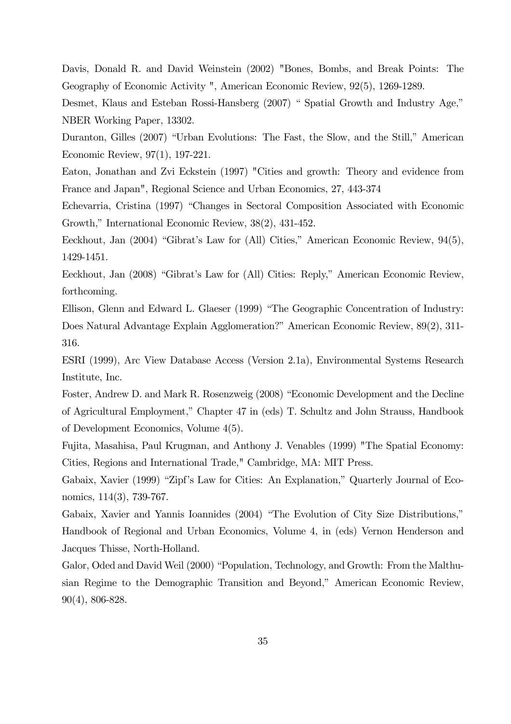Davis, Donald R. and David Weinstein (2002) "Bones, Bombs, and Break Points: The Geography of Economic Activity ", American Economic Review, 92(5), 1269-1289.

Desmet, Klaus and Esteban Rossi-Hansberg (2007) " Spatial Growth and Industry Age," NBER Working Paper, 13302.

Duranton, Gilles (2007) "Urban Evolutions: The Fast, the Slow, and the Still," American Economic Review, 97(1), 197-221.

Eaton, Jonathan and Zvi Eckstein (1997) "Cities and growth: Theory and evidence from France and Japan", Regional Science and Urban Economics, 27, 443-374

Echevarria, Cristina (1997) "Changes in Sectoral Composition Associated with Economic Growth," International Economic Review, 38(2), 431-452.

Eeckhout, Jan (2004) "Gibrat's Law for (All) Cities," American Economic Review, 94(5), 1429-1451.

Eeckhout, Jan (2008) "Gibrat's Law for (All) Cities: Reply," American Economic Review, forthcoming.

Ellison, Glenn and Edward L. Glaeser (1999) "The Geographic Concentration of Industry: Does Natural Advantage Explain Agglomeration?" American Economic Review, 89(2), 311- 316.

ESRI (1999), Arc View Database Access (Version 2.1a), Environmental Systems Research Institute, Inc.

Foster, Andrew D. and Mark R. Rosenzweig (2008) "Economic Development and the Decline of Agricultural Employment," Chapter 47 in (eds) T. Schultz and John Strauss, Handbook of Development Economics, Volume 4(5).

Fujita, Masahisa, Paul Krugman, and Anthony J. Venables (1999) "The Spatial Economy: Cities, Regions and International Trade," Cambridge, MA: MIT Press.

Gabaix, Xavier (1999) "Zipf's Law for Cities: An Explanation," Quarterly Journal of Economics, 114(3), 739-767.

Gabaix, Xavier and Yannis Ioannides (2004) "The Evolution of City Size Distributions," Handbook of Regional and Urban Economics, Volume 4, in (eds) Vernon Henderson and Jacques Thisse, North-Holland.

Galor, Oded and David Weil (2000) "Population, Technology, and Growth: From the Malthusian Regime to the Demographic Transition and Beyond," American Economic Review, 90(4), 806-828.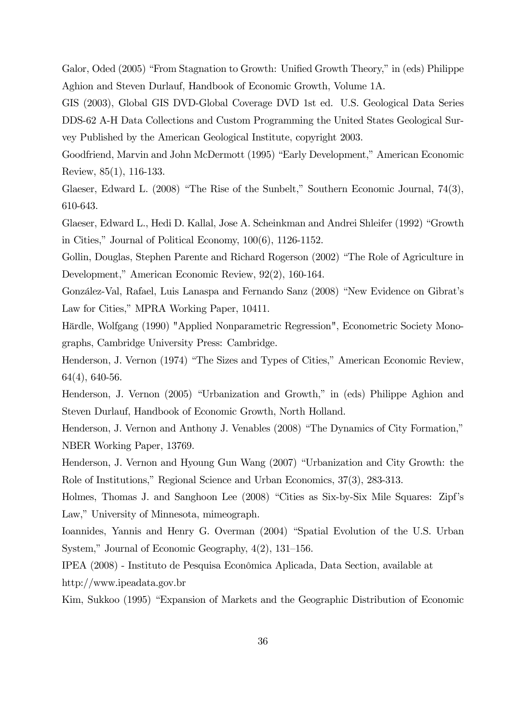Galor, Oded (2005) "From Stagnation to Growth: Unified Growth Theory," in (eds) Philippe Aghion and Steven Durlauf, Handbook of Economic Growth, Volume 1A.

GIS (2003), Global GIS DVD-Global Coverage DVD 1st ed. U.S. Geological Data Series DDS-62 A-H Data Collections and Custom Programming the United States Geological Survey Published by the American Geological Institute, copyright 2003.

Goodfriend, Marvin and John McDermott (1995) "Early Development," American Economic Review, 85(1), 116-133.

Glaeser, Edward L. (2008) "The Rise of the Sunbelt," Southern Economic Journal, 74(3), 610-643.

Glaeser, Edward L., Hedi D. Kallal, Jose A. Scheinkman and Andrei Shleifer (1992) "Growth in Cities," Journal of Political Economy, 100(6), 1126-1152.

Gollin, Douglas, Stephen Parente and Richard Rogerson (2002) "The Role of Agriculture in Development," American Economic Review, 92(2), 160-164.

González-Val, Rafael, Luis Lanaspa and Fernando Sanz (2008) "New Evidence on Gibrat's Law for Cities," MPRA Working Paper, 10411.

Härdle, Wolfgang (1990) "Applied Nonparametric Regression", Econometric Society Monographs, Cambridge University Press: Cambridge.

Henderson, J. Vernon (1974) "The Sizes and Types of Cities," American Economic Review, 64(4), 640-56.

Henderson, J. Vernon (2005) "Urbanization and Growth," in (eds) Philippe Aghion and Steven Durlauf, Handbook of Economic Growth, North Holland.

Henderson, J. Vernon and Anthony J. Venables (2008) "The Dynamics of City Formation," NBER Working Paper, 13769.

Henderson, J. Vernon and Hyoung Gun Wang (2007) "Urbanization and City Growth: the Role of Institutions," Regional Science and Urban Economics, 37(3), 283-313.

Holmes, Thomas J. and Sanghoon Lee (2008) "Cities as Six-by-Six Mile Squares: Zipf's Law," University of Minnesota, mimeograph.

Ioannides, Yannis and Henry G. Overman (2004) "Spatial Evolution of the U.S. Urban System," Journal of Economic Geography, 4(2), 131—156.

IPEA (2008) - Instituto de Pesquisa Econômica Aplicada, Data Section, available at http://www.ipeadata.gov.br

Kim, Sukkoo (1995) "Expansion of Markets and the Geographic Distribution of Economic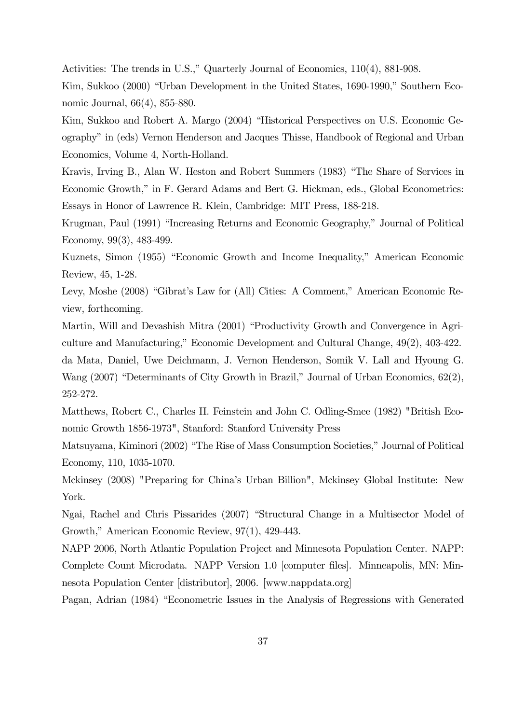Activities: The trends in U.S.," Quarterly Journal of Economics, 110(4), 881-908.

Kim, Sukkoo (2000) "Urban Development in the United States, 1690-1990," Southern Economic Journal, 66(4), 855-880.

Kim, Sukkoo and Robert A. Margo (2004) "Historical Perspectives on U.S. Economic Geography" in (eds) Vernon Henderson and Jacques Thisse, Handbook of Regional and Urban Economics, Volume 4, North-Holland.

Kravis, Irving B., Alan W. Heston and Robert Summers (1983) "The Share of Services in Economic Growth," in F. Gerard Adams and Bert G. Hickman, eds., Global Econometrics: Essays in Honor of Lawrence R. Klein, Cambridge: MIT Press, 188-218.

Krugman, Paul (1991) "Increasing Returns and Economic Geography," Journal of Political Economy, 99(3), 483-499.

Kuznets, Simon (1955) "Economic Growth and Income Inequality," American Economic Review, 45, 1-28.

Levy, Moshe (2008) "Gibrat's Law for (All) Cities: A Comment," American Economic Review, forthcoming.

Martin, Will and Devashish Mitra (2001) "Productivity Growth and Convergence in Agriculture and Manufacturing," Economic Development and Cultural Change, 49(2), 403-422.

da Mata, Daniel, Uwe Deichmann, J. Vernon Henderson, Somik V. Lall and Hyoung G. Wang (2007) "Determinants of City Growth in Brazil," Journal of Urban Economics, 62(2), 252-272.

Matthews, Robert C., Charles H. Feinstein and John C. Odling-Smee (1982) "British Economic Growth 1856-1973", Stanford: Stanford University Press

Matsuyama, Kiminori (2002) "The Rise of Mass Consumption Societies," Journal of Political Economy, 110, 1035-1070.

Mckinsey (2008) "Preparing for China's Urban Billion", Mckinsey Global Institute: New York.

Ngai, Rachel and Chris Pissarides (2007) "Structural Change in a Multisector Model of Growth," American Economic Review, 97(1), 429-443.

NAPP 2006, North Atlantic Population Project and Minnesota Population Center. NAPP: Complete Count Microdata. NAPP Version 1.0 [computer files]. Minneapolis, MN: Minnesota Population Center [distributor], 2006. [www.nappdata.org]

Pagan, Adrian (1984) "Econometric Issues in the Analysis of Regressions with Generated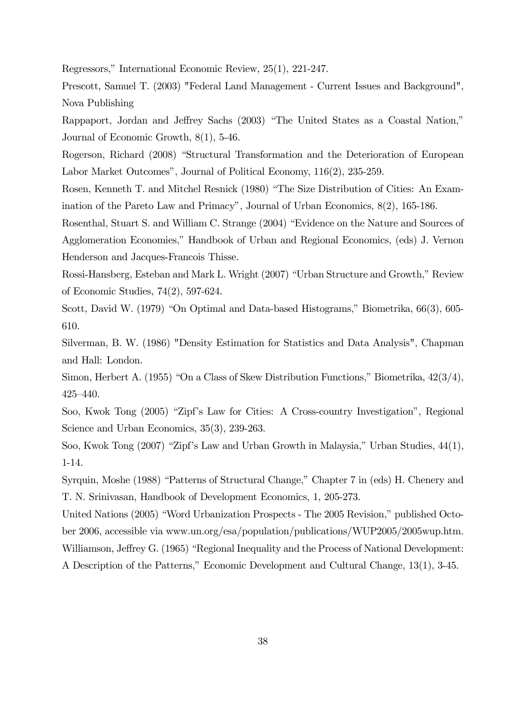Regressors," International Economic Review, 25(1), 221-247.

Prescott, Samuel T. (2003) "Federal Land Management - Current Issues and Background", Nova Publishing

Rappaport, Jordan and Jeffrey Sachs (2003) "The United States as a Coastal Nation," Journal of Economic Growth, 8(1), 5-46.

Rogerson, Richard (2008) "Structural Transformation and the Deterioration of European Labor Market Outcomes", Journal of Political Economy, 116(2), 235-259.

Rosen, Kenneth T. and Mitchel Resnick (1980) "The Size Distribution of Cities: An Examination of the Pareto Law and Primacy", Journal of Urban Economics, 8(2), 165-186.

Rosenthal, Stuart S. and William C. Strange (2004) "Evidence on the Nature and Sources of Agglomeration Economies," Handbook of Urban and Regional Economics, (eds) J. Vernon Henderson and Jacques-Francois Thisse.

Rossi-Hansberg, Esteban and Mark L. Wright (2007) "Urban Structure and Growth," Review of Economic Studies, 74(2), 597-624.

Scott, David W. (1979) "On Optimal and Data-based Histograms," Biometrika, 66(3), 605- 610.

Silverman, B. W. (1986) "Density Estimation for Statistics and Data Analysis", Chapman and Hall: London.

Simon, Herbert A. (1955) "On a Class of Skew Distribution Functions," Biometrika, 42(3/4), 425—440.

Soo, Kwok Tong (2005) "Zipf's Law for Cities: A Cross-country Investigation", Regional Science and Urban Economics, 35(3), 239-263.

Soo, Kwok Tong (2007) "Zipf's Law and Urban Growth in Malaysia," Urban Studies, 44(1), 1-14.

Syrquin, Moshe (1988) "Patterns of Structural Change," Chapter 7 in (eds) H. Chenery and T. N. Srinivasan, Handbook of Development Economics, 1, 205-273.

United Nations (2005) "Word Urbanization Prospects - The 2005 Revision," published October 2006, accessible via www.un.org/esa/population/publications/WUP2005/2005wup.htm. Williamson, Jeffrey G. (1965) "Regional Inequality and the Process of National Development: A Description of the Patterns," Economic Development and Cultural Change, 13(1), 3-45.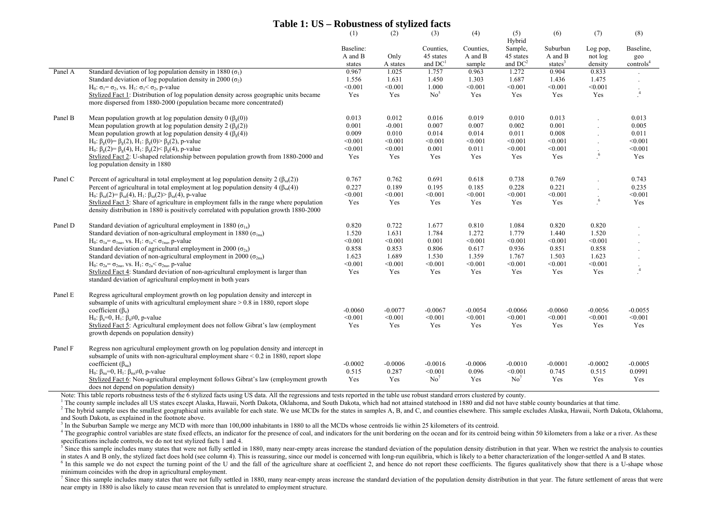#### **Table 1: US – Robustness of stylized facts**

|         |                                                                                                                                                                                                                                                                                                                                                                                                   | (1)                       | (2)                       | (3)                                     | (4)                       | (5)<br>Hybrid                           | (6)                       | (7)                       | (8)                        |
|---------|---------------------------------------------------------------------------------------------------------------------------------------------------------------------------------------------------------------------------------------------------------------------------------------------------------------------------------------------------------------------------------------------------|---------------------------|---------------------------|-----------------------------------------|---------------------------|-----------------------------------------|---------------------------|---------------------------|----------------------------|
|         |                                                                                                                                                                                                                                                                                                                                                                                                   | Baseline:<br>A and B      | Only                      | Counties,<br>45 states                  | Counties.<br>A and B      | Sample,<br>45 states                    | Suburban<br>A and B       | Log pop,<br>not log       | Baseline,<br>geo           |
|         |                                                                                                                                                                                                                                                                                                                                                                                                   | states                    | A states                  | and $DC1$                               | sample                    | and $DC2$                               | states $3$                | density                   | controls <sup>4</sup>      |
| Panel A | Standard deviation of log population density in 1880 ( $\sigma_1$ )                                                                                                                                                                                                                                                                                                                               | 0.967                     | 1.025                     | 1.757                                   | 0.963                     | 1.272                                   | 0.904                     | 0.833                     |                            |
|         | Standard deviation of log population density in 2000 ( $\sigma_2$ )                                                                                                                                                                                                                                                                                                                               | 1.556                     | 1.631                     | 1.450                                   | 1.303                     | 1.687                                   | 1.436                     | 1.475                     |                            |
|         | $H_0$ : σ <sub>1</sub> = σ <sub>2</sub> , vs. H <sub>1</sub> : σ <sub>1</sub> < σ <sub>2</sub> , p-value                                                                                                                                                                                                                                                                                          | < 0.001                   | < 0.001                   | 1.000                                   | < 0.001                   | < 0.001                                 | < 0.001                   | < 0.001                   |                            |
|         | Stylized Fact 1: Distribution of log population density across geographic units became<br>more dispersed from 1880-2000 (population became more concentrated)                                                                                                                                                                                                                                     | Yes                       | Yes                       | No <sup>5</sup>                         | Yes                       | Yes                                     | Yes                       | Yes                       | $\sqrt{4}$                 |
| Panel B | Mean population growth at log population density 0 ( $\beta$ <sub>g</sub> (0))                                                                                                                                                                                                                                                                                                                    | 0.013                     | 0.012                     | 0.016                                   | 0.019                     | 0.010                                   | 0.013                     |                           | 0.013                      |
|         | Mean population growth at log population density 2 ( $\beta_e(2)$ )                                                                                                                                                                                                                                                                                                                               | 0.001                     | $-0.001$                  | 0.007                                   | 0.007                     | 0.002                                   | 0.001                     |                           | 0.005                      |
|         | Mean population growth at log population density 4 ( $\beta_g(4)$ )                                                                                                                                                                                                                                                                                                                               | 0.009                     | 0.010                     | 0.014                                   | 0.014                     | 0.011                                   | 0.008                     |                           | 0.011                      |
|         | H <sub>0</sub> : β <sub>g</sub> (0)= β <sub>g</sub> (2), H <sub>1</sub> : β <sub>g</sub> (0)> β <sub>g</sub> (2), p-value                                                                                                                                                                                                                                                                         | < 0.001                   | < 0.001                   | < 0.001                                 | < 0.001                   | < 0.001                                 | < 0.001                   |                           | < 0.001                    |
|         | H <sub>0</sub> : β <sub>g</sub> (2)= β <sub>g</sub> (4), H <sub>1</sub> : β <sub>g</sub> (2)< β <sub>g</sub> (4), p-value                                                                                                                                                                                                                                                                         | < 0.001                   | < 0.001                   | 0.001                                   | 0.011                     | < 0.001                                 | < 0.001                   |                           | < 0.001                    |
|         | Stylized Fact 2: U-shaped relationship between population growth from 1880-2000 and<br>log population density in 1880                                                                                                                                                                                                                                                                             | Yes                       | Yes                       | Yes                                     | Yes                       | Yes                                     | Yes                       | 6                         | Yes                        |
| Panel C | Percent of agricultural in total employment at log population density 2 ( $\beta_{sa}(2)$ )                                                                                                                                                                                                                                                                                                       | 0.767                     | 0.762                     | 0.691                                   | 0.618                     | 0.738                                   | 0.769                     |                           | 0.743                      |
|         | Percent of agricultural in total employment at log population density 4 ( $\beta_{sa}(4)$ )                                                                                                                                                                                                                                                                                                       | 0.227                     | 0.189                     | 0.195                                   | 0.185                     | 0.228                                   | 0.221                     |                           | 0.235                      |
|         | H <sub>0</sub> : β <sub>sa</sub> (2)= β <sub>sa</sub> (4), H <sub>1</sub> : β <sub>sa</sub> (2)> β <sub>sa</sub> (4), p-value                                                                                                                                                                                                                                                                     | < 0.001                   | < 0.001                   | < 0.001                                 | < 0.001                   | < 0.001                                 | < 0.001                   |                           | < 0.001                    |
|         | Stylized Fact 3: Share of agriculture in employment falls in the range where population                                                                                                                                                                                                                                                                                                           | Yes                       | Yes                       | Yes                                     | Yes                       | Yes                                     | Yes                       | 6                         | Yes                        |
|         | density distribution in 1880 is positively correlated with population growth 1880-2000                                                                                                                                                                                                                                                                                                            |                           |                           |                                         |                           |                                         |                           |                           |                            |
| Panel D | Standard deviation of agricultural employment in 1880 ( $\sigma_{1a}$ )                                                                                                                                                                                                                                                                                                                           | 0.820                     | 0.722                     | 1.677                                   | 0.810                     | 1.084                                   | 0.820                     | 0.820                     |                            |
|         | Standard deviation of non-agricultural employment in 1880 ( $\sigma_{\text{lna}}$ )                                                                                                                                                                                                                                                                                                               | 1.520                     | 1.631                     | 1.784                                   | 1.272                     | 1.779                                   | 1.440                     | 1.520                     |                            |
|         | $H_0$ : σ <sub>1a</sub> = σ <sub>1na</sub> , vs. H <sub>1</sub> : σ <sub>1a</sub> < σ <sub>1na</sub> , p-value                                                                                                                                                                                                                                                                                    | < 0.001                   | < 0.001                   | 0.001                                   | < 0.001                   | < 0.001                                 | < 0.001                   | < 0.001                   |                            |
|         | Standard deviation of agricultural employment in 2000 ( $\sigma_{2a}$ )                                                                                                                                                                                                                                                                                                                           | 0.858                     | 0.853                     | 0.806                                   | 0.617                     | 0.936                                   | 0.851                     | 0.858                     |                            |
|         | Standard deviation of non-agricultural employment in 2000 ( $\sigma_{2na}$ )                                                                                                                                                                                                                                                                                                                      | 1.623                     | 1.689                     | 1.530                                   | 1.359                     | 1.767                                   | 1.503                     | 1.623                     |                            |
|         | H <sub>0</sub> : $\sigma_{2a} = \sigma_{2na}$ , vs. H <sub>1</sub> : $\sigma_{2a} < \sigma_{2na}$ , p-value                                                                                                                                                                                                                                                                                       | < 0.001                   | < 0.001                   | < 0.001                                 | < 0.001                   | < 0.001                                 | < 0.001                   | < 0.001                   |                            |
|         | Stylized Fact 4: Standard deviation of non-agricultural employment is larger than<br>standard deviation of agricultural employment in both years                                                                                                                                                                                                                                                  | Yes                       | Yes                       | Yes                                     | Yes                       | Yes                                     | Yes                       | Yes                       | $\overline{4}$             |
| Panel E | Regress agricultural employment growth on log population density and intercept in<br>subsample of units with agricultural employment share $> 0.8$ in 1880, report slope<br>coefficient $(\beta_a)$                                                                                                                                                                                               | $-0.0060$                 | $-0.0077$                 | $-0.0067$                               | $-0.0054$                 | $-0.0066$                               | $-0.0060$                 | $-0.0056$                 | $-0.0055$                  |
|         | H <sub>0</sub> : $\beta_a=0$ , H <sub>1</sub> : $\beta_a\neq 0$ , p-value                                                                                                                                                                                                                                                                                                                         | < 0.001                   | < 0.001                   | < 0.001                                 | < 0.001                   | < 0.001                                 | < 0.001                   | < 0.001                   | < 0.001                    |
|         | Stylized Fact 5: Agricultural employment does not follow Gibrat's law (employment<br>growth depends on population density)                                                                                                                                                                                                                                                                        | Yes                       | Yes                       | Yes                                     | Yes                       | Yes                                     | Yes                       | Yes                       | Yes                        |
| Panel F | Regress non agricultural employment growth on log population density and intercept in<br>subsample of units with non-agricultural employment share $\leq 0.2$ in 1880, report slope<br>coefficient ( $\beta_{na}$ )<br>H <sub>0</sub> : $\beta_{na} = 0$ , H <sub>1</sub> : $\beta_{na} \neq 0$ , p-value<br>Stylized Fact 6: Non-agricultural employment follows Gibrat's law (employment growth | $-0.0002$<br>0.515<br>Yes | $-0.0006$<br>0.287<br>Yes | $-0.0016$<br>< 0.001<br>No <sup>7</sup> | $-0.0006$<br>0.096<br>Yes | $-0.0010$<br>< 0.001<br>No <sup>7</sup> | $-0.0001$<br>0.745<br>Yes | $-0.0002$<br>0.515<br>Yes | $-0.0005$<br>0.0991<br>Yes |
|         | does not depend on population density)                                                                                                                                                                                                                                                                                                                                                            |                           |                           |                                         |                           |                                         |                           |                           |                            |

Note: This table reports robustness tests of the 6 stylized facts using US data. All the regressions and tests reported in the table use robust standard errors clustered by county.

<sup>1</sup> The county sample includes all US states except Alaska, Hawaii, North Dakota, Oklahoma, and South Dakota, which had not attained statehood in 1880 and did not have stable county boundaries at that time.

<sup>2</sup> The hybrid sample uses the smallest geographical units available for each state. We use MCDs for the states in samples A, B, and C, and counties elsewhere. This sample excludes Alaska, Hawaii, North Dakota, Oklahoma, and South Dakota, as explained in the footnote above.

<sup>3</sup> In the Suburban Sample we merge any MCD with more than 100,000 inhabitants in 1880 to all the MCDs whose centroids lie within 25 kilometers of its centroid.

<sup>4</sup> The geographic control variables are state fixed effects, an indicator for the presence of coal, and indicators for the unit bordering on the ocean and for its centroid being within 50 kilometers from a lake or a river specifications include controls, we do not test stylized facts 1 and 4.

 $\frac{5}{5}$  Since this sample includes many states that were not fully settled in 1880, many near-empty areas increase the standard deviation of the population density distribution in that year. When we restrict the analysi in states A and B only, the stylized fact does hold (see column 4). This is reassuring, since our model is concerned with long-run equilibria, which is likely to a better characterization of the longer-settled A and B stat

 $6$  In this sample we do not expect the turning point of the U and the fall of the agriculture share at coefficient 2, and hence do not report these coefficients. The figures qualitatively show that there is a U-shape who minimum coincides with the drop in agricultural employment.

Since this sample includes many states that were not fully settled in 1880, many near-empty areas increase the standard deviation of the population density distribution in that year. The future settlement of areas that wer near empty in 1880 is also likely to cause mean reversion that is unrelated to employment structure.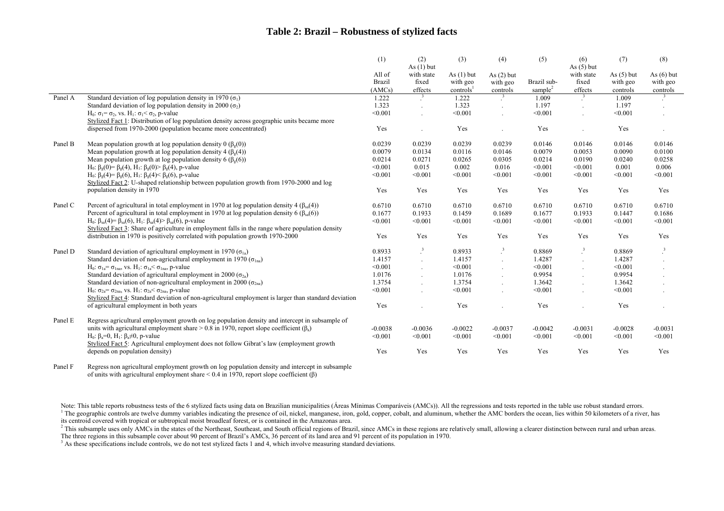#### **Table 2: Brazil – Robustness of stylized facts**

|         |                                                                                                                                                                                                                     | (1)           | (2)<br>As $(1)$ but     | (3)                   | (4)                      | (5)                 | (6)<br>As $(5)$ but | (7)          | (8)                     |
|---------|---------------------------------------------------------------------------------------------------------------------------------------------------------------------------------------------------------------------|---------------|-------------------------|-----------------------|--------------------------|---------------------|---------------------|--------------|-------------------------|
|         |                                                                                                                                                                                                                     | All of        | with state              | As $(1)$ but          | As $(2)$ but             |                     | with state          | As $(5)$ but | As $(6)$ but            |
|         |                                                                                                                                                                                                                     | <b>Brazil</b> | fixed                   | with geo              | with geo                 | Brazil sub-         | fixed               | with geo     | with geo                |
|         |                                                                                                                                                                                                                     | (AMCs)        | effects                 | controls <sup>1</sup> | controls                 | sample <sup>2</sup> | effects             | controls     | controls                |
| Panel A | Standard deviation of log population density in 1970 ( $\sigma_1$ )                                                                                                                                                 | 1.222         |                         | 1.222                 |                          | 1.009               |                     | 1.009        |                         |
|         | Standard deviation of log population density in 2000 ( $\sigma_2$ )                                                                                                                                                 | 1.323         |                         | 1.323                 |                          | 1.197               |                     | 1.197        | $\sim$                  |
|         | $H_0$ : σ <sub>1</sub> = σ <sub>2</sub> , vs. H <sub>1</sub> : σ <sub>1</sub> < σ <sub>2</sub> , p-value                                                                                                            | < 0.001       |                         | < 0.001               |                          | < 0.001             |                     | < 0.001      |                         |
|         | Stylized Fact 1: Distribution of log population density across geographic units became more                                                                                                                         |               |                         |                       |                          |                     |                     |              |                         |
|         | dispersed from 1970-2000 (population became more concentrated)                                                                                                                                                      | Yes           |                         | Yes                   |                          | Yes                 |                     | Yes          | $\cdot$                 |
| Panel B | Mean population growth at log population density 0 ( $\beta$ <sub>e</sub> (0))                                                                                                                                      | 0.0239        | 0.0239                  | 0.0239                | 0.0239                   | 0.0146              | 0.0146              | 0.0146       | 0.0146                  |
|         | Mean population growth at log population density 4 ( $\beta_g(4)$ )                                                                                                                                                 | 0.0079        | 0.0134                  | 0.0116                | 0.0146                   | 0.0079              | 0.0053              | 0.0090       | 0.0100                  |
|         | Mean population growth at log population density 6 ( $\beta$ <sub>o</sub> (6))                                                                                                                                      | 0.0214        | 0.0271                  | 0.0265                | 0.0305                   | 0.0214              | 0.0190              | 0.0240       | 0.0258                  |
|         | H <sub>0</sub> : $\beta$ <sub>e</sub> (0)= $\beta$ <sub>e</sub> (4), H <sub>1</sub> : $\beta$ <sub>e</sub> (0) $\beta$ <sub>e</sub> (4), p-value                                                                    | < 0.001       | 0.015                   | 0.002                 | 0.016                    | < 0.001             | < 0.001             | 0.001        | 0.006                   |
|         | H <sub>0</sub> : β <sub>g</sub> (4)= β <sub>g</sub> (6), H <sub>1</sub> : β <sub>g</sub> (4)< β <sub>g</sub> (6), p-value                                                                                           | < 0.001       | < 0.001                 | < 0.001               | < 0.001                  | < 0.001             | < 0.001             | < 0.001      | < 0.001                 |
|         | Stylized Fact 2: U-shaped relationship between population growth from 1970-2000 and log                                                                                                                             |               |                         |                       |                          |                     |                     |              |                         |
|         | population density in 1970                                                                                                                                                                                          | Yes           | Yes                     | Yes                   | Yes                      | Yes                 | Yes                 | Yes          | Yes                     |
| Panel C | Percent of agricultural in total employment in 1970 at log population density 4 ( $\beta_{sa}(4)$ )                                                                                                                 | 0.6710        | 0.6710                  | 0.6710                | 0.6710                   | 0.6710              | 0.6710              | 0.6710       | 0.6710                  |
|         | Percent of agricultural in total employment in 1970 at log population density 6 ( $\beta_{sa}(6)$ )                                                                                                                 | 0.1677        | 0.1933                  | 0.1459                | 0.1689                   | 0.1677              | 0.1933              | 0.1447       | 0.1686                  |
|         | H <sub>0</sub> : β <sub>sa</sub> (4)= β <sub>sa</sub> (6), H <sub>1</sub> : β <sub>sa</sub> (4)> β <sub>sa</sub> (6), p-value                                                                                       | < 0.001       | < 0.001                 | < 0.001               | < 0.001                  | < 0.001             | < 0.001             | < 0.001      | < 0.001                 |
|         | Stylized Fact 3: Share of agriculture in employment falls in the range where population density                                                                                                                     |               |                         |                       |                          |                     |                     |              |                         |
|         | distribution in 1970 is positively correlated with population growth 1970-2000                                                                                                                                      | Yes           | Yes                     | Yes                   | Yes                      | Yes                 | Yes                 | Yes          | Yes                     |
| Panel D | Standard deviation of agricultural employment in 1970 ( $\sigma_{1a}$ )                                                                                                                                             | 0.8933        | $\overline{\mathbf{3}}$ | 0.8933                | $\cdot$ <sup>3</sup>     | 0.8869              | $\cdot^3$           | 0.8869       | $\overline{\mathbf{3}}$ |
|         | Standard deviation of non-agricultural employment in 1970 ( $\sigma_{1na}$ )                                                                                                                                        | 1.4157        |                         | 1.4157                | $\ddot{\phantom{a}}$     | 1.4287              |                     | 1.4287       | $\cdot$                 |
|         | $H_0$ : σ <sub>1a</sub> = σ <sub>1na</sub> , vs. H <sub>1</sub> : σ <sub>1a</sub> < σ <sub>1na</sub> , p-value                                                                                                      | < 0.001       |                         | < 0.001               | $\overline{\phantom{a}}$ | < 0.001             |                     | < 0.001      | $\sim$                  |
|         | Standard deviation of agricultural employment in 2000 ( $\sigma_{2a}$ )                                                                                                                                             | 1.0176        |                         | 1.0176                | $\ddot{\phantom{a}}$     | 0.9954              |                     | 0.9954       |                         |
|         | Standard deviation of non-agricultural employment in 2000 ( $\sigma_{2na}$ )                                                                                                                                        | 1.3754        |                         | 1.3754                | $\overline{a}$           | 1.3642              |                     | 1.3642       |                         |
|         | H <sub>0</sub> : $\sigma_{2a} = \sigma_{2na}$ , vs. H <sub>1</sub> : $\sigma_{2a} < \sigma_{2na}$ , p-value<br>Stylized Fact 4: Standard deviation of non-agricultural employment is larger than standard deviation | < 0.001       |                         | < 0.001               |                          | < 0.001             |                     | < 0.001      | $\cdot$                 |
|         | of agricultural employment in both years                                                                                                                                                                            | Yes           |                         | Yes                   |                          | Yes                 |                     | Yes          |                         |
| Panel E | Regress agricultural employment growth on log population density and intercept in subsample of                                                                                                                      |               |                         |                       |                          |                     |                     |              |                         |
|         | units with agricultural employment share $> 0.8$ in 1970, report slope coefficient ( $\beta_a$ )                                                                                                                    | $-0.0038$     | $-0.0036$               | $-0.0022$             | $-0.0037$                | $-0.0042$           | $-0.0031$           | $-0.0028$    | $-0.0031$               |
|         | H <sub>0</sub> : $\beta_a=0$ , H <sub>1</sub> : $\beta_a\neq 0$ , p-value                                                                                                                                           | < 0.001       | < 0.001                 | < 0.001               | < 0.001                  | < 0.001             | < 0.001             | < 0.001      | < 0.001                 |
|         | Stylized Fact 5: Agricultural employment does not follow Gibrat's law (employment growth                                                                                                                            |               |                         |                       |                          |                     |                     |              |                         |
|         | depends on population density)                                                                                                                                                                                      | Yes           | Yes                     | Yes                   | Yes                      | Yes                 | Yes                 | Yes          | Yes                     |
| Panel F | Regress non agricultural employment growth on log population density and intercept in subsample                                                                                                                     |               |                         |                       |                          |                     |                     |              |                         |

of units with agricultural employment share < 0.4 in 1970, report slope coefficient (β) βo bethe 8007.on l120.63c <

p<.on l7 3773-07.on l3427(3784.7202.T3 17.on l10.7(376on l6).T3 17.on l6747(3773-0).T3 17.on l7297(8773-

Note: This table reports robustness tests of the 6 stylized facts using data on Brazilian municipalities (Áreas Mínimas Comparáveis (AMCs)). All the regressions and tests reported in the table use robust standard errors. <sup>1</sup> The geographic controls are twelve dummy variables indicating the presence of oil, nickel, manganese, iron, gold, copper, cobalt, and aluminum, whether the AMC borders the ocean, lies within 50 kilometers of a river, h its centroid covered with tropical or subtropical moist broadleaf forest, or is contained in the Amazonas area.

<sup>2</sup> This subsample uses only AMCs in the states of the Northeast, Southeast, and South official regions of Brazil, since AMCs in these regions are relatively small, allowing a clearer distinction between rural and urban ar

The three regions in this subsample cover about 90 percent of Brazil's AMCs, 36 percent of its land area and 91 percent of its population in 1970.

<sup>3</sup> As these specifications include controls, we do not test stylized facts 1 and 4, which involve measuring standard deviations.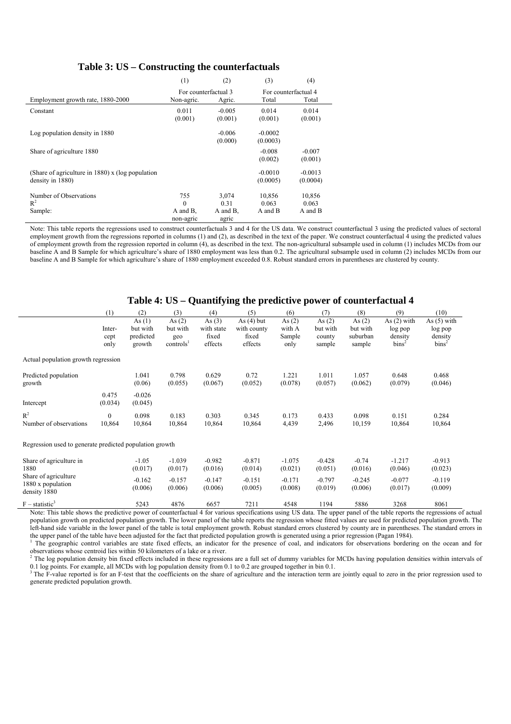#### **Table 3: US – Constructing the counterfactuals**

|                                                     | (1)                  | (2)      | (3)       | (4)                  |
|-----------------------------------------------------|----------------------|----------|-----------|----------------------|
|                                                     | For counterfactual 3 |          |           | For counterfactual 4 |
| Employment growth rate, 1880-2000                   | Non-agric.           | Agric.   | Total     | Total                |
| Constant                                            | 0.011                | $-0.005$ | 0.014     | 0.014                |
|                                                     | (0.001)              | (0.001)  | (0.001)   | (0.001)              |
| Log population density in 1880                      |                      | $-0.006$ | $-0.0002$ |                      |
|                                                     |                      | (0.000)  | (0.0003)  |                      |
| Share of agriculture 1880                           |                      |          | $-0.008$  | $-0.007$             |
|                                                     |                      |          | (0.002)   | (0.001)              |
| (Share of agriculture in $1880$ ) x (log population |                      |          | $-0.0010$ | $-0.0013$            |
| density in 1880)                                    |                      |          | (0.0005)  | (0.0004)             |
| Number of Observations                              | 755                  | 3,074    | 10,856    | 10,856               |
| $R^2$                                               | $\Omega$             | 0.31     | 0.063     | 0.063                |
| Sample:                                             | A and B.             | A and B. | A and B   | A and B              |
|                                                     | non-agric            | agric    |           |                      |

Note: This table reports the regressions used to construct counterfactuals 3 and 4 for the US data. We construct counterfactual 3 using the predicted values of sectoral employment growth from the regressions reported in columns (1) and (2), as described in the text of the paper. We construct counterfactual  $\dot{4}$  using the predicted values of employment growth from the regression reported in column (4), as described in the text. The non-agricultural subsample used in column (1) includes MCDs from our baseline A and B Sample for which agriculture's share of 1880 employment was less than 0.2. The agricultural subsample used in column (2) includes MCDs from our baseline A and B Sample for which agriculture's share of 1880 employment exceeded 0.8. Robust standard errors in parentheses are clustered by county.

#### **Table 4: US – Quantifying the predictive power of counterfactual 4**

|                                                           | (1)                    | (2)                                         | (3)                                                  | (4)                                        | (5)                                             | (6)                                  | (7)                                      | (8)                                        | (9)                                                      | (10)                                                     |
|-----------------------------------------------------------|------------------------|---------------------------------------------|------------------------------------------------------|--------------------------------------------|-------------------------------------------------|--------------------------------------|------------------------------------------|--------------------------------------------|----------------------------------------------------------|----------------------------------------------------------|
|                                                           | Inter-<br>cept<br>only | As $(1)$<br>but with<br>predicted<br>growth | As $(2)$<br>but with<br>geo<br>controls <sup>1</sup> | As $(3)$<br>with state<br>fixed<br>effects | As $(4)$ but<br>with county<br>fixed<br>effects | As $(2)$<br>with A<br>Sample<br>only | As $(2)$<br>but with<br>county<br>sample | As $(2)$<br>but with<br>suburban<br>sample | As $(2)$ with<br>log pop<br>density<br>bins <sup>2</sup> | As $(5)$ with<br>log pop<br>density<br>bins <sup>2</sup> |
| Actual population growth regression                       |                        |                                             |                                                      |                                            |                                                 |                                      |                                          |                                            |                                                          |                                                          |
| Predicted population<br>growth                            |                        | 1.041<br>(0.06)                             | 0.798<br>(0.055)                                     | 0.629<br>(0.067)                           | 0.72<br>(0.052)                                 | 1.221<br>(0.078)                     | 1.011<br>(0.057)                         | 1.057<br>(0.062)                           | 0.648<br>(0.079)                                         | 0.468<br>(0.046)                                         |
| Intercept                                                 | 0.475<br>(0.034)       | $-0.026$<br>(0.045)                         |                                                      |                                            |                                                 |                                      |                                          |                                            |                                                          |                                                          |
| $R^2$<br>Number of observations                           | $\mathbf{0}$<br>10,864 | 0.098<br>10,864                             | 0.183<br>10,864                                      | 0.303<br>10,864                            | 0.345<br>10,864                                 | 0.173<br>4,439                       | 0.433<br>2,496                           | 0.098<br>10,159                            | 0.151<br>10,864                                          | 0.284<br>10,864                                          |
| Regression used to generate predicted population growth   |                        |                                             |                                                      |                                            |                                                 |                                      |                                          |                                            |                                                          |                                                          |
| Share of agriculture in<br>1880                           |                        | $-1.05$<br>(0.017)                          | $-1.039$<br>(0.017)                                  | $-0.982$<br>(0.016)                        | $-0.871$<br>(0.014)                             | $-1.075$<br>(0.021)                  | $-0.428$<br>(0.051)                      | $-0.74$<br>(0.016)                         | $-1.217$<br>(0.046)                                      | $-0.913$<br>(0.023)                                      |
| Share of agriculture<br>1880 x population<br>density 1880 |                        | $-0.162$<br>(0.006)                         | $-0.157$<br>(0.006)                                  | $-0.147$<br>(0.006)                        | $-0.151$<br>(0.005)                             | $-0.171$<br>(0.008)                  | $-0.797$<br>(0.019)                      | $-0.245$<br>(0.006)                        | $-0.077$<br>(0.017)                                      | $-0.119$<br>(0.009)                                      |
| $F - statistic^3$                                         |                        | 5243                                        | 4876                                                 | 6657                                       | 7211                                            | 4548                                 | 1194                                     | 5886                                       | 3268                                                     | 8061                                                     |

Note: This table shows the predictive power of counterfactual 4 for various specifications using US data. The upper panel of the table reports the regressions of actual population growth on predicted population growth. The lower panel of the table reports the regression whose fitted values are used for predicted population growth. The left-hand side variable in the lower panel of the table is total employment growth. Robust standard errors clustered by county are in parentheses. The standard errors in the upper panel of the table have been adjusted for the fact that predicted population growth is generated using a prior regression (Pagan 1984).

<sup>1</sup> The geographic control variables are state fixed effects, an indicator for the presence of coal, and indicators for observations bordering on the ocean and for observations whose centroid lies within 50 kilometers of a lake or a river.

 $<sup>2</sup>$  The log population density bin fixed effects included in these regressions are a full set of dummy variables for MCDs having population densities within intervals of</sup>

0.1 log points. For example, all MCDs with log population density from 0.1 to 0.2 are grouped together in bin 0.1.<br><sup>3</sup> The F-value reported is for an F-test that the coefficients on the share of agriculture and the intera generate predicted population growth.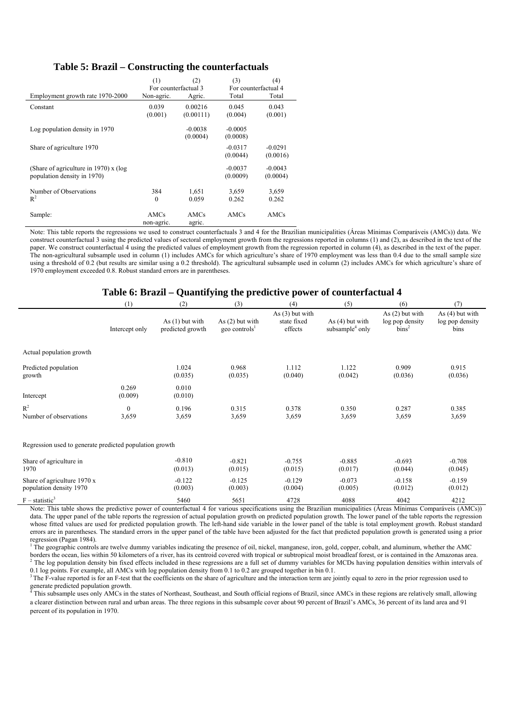#### **Table 5: Brazil – Constructing the counterfactuals**

|                                         | (1)                  | (2)       | (3)                  | (4)       |
|-----------------------------------------|----------------------|-----------|----------------------|-----------|
|                                         | For counterfactual 3 |           | For counterfactual 4 |           |
| Employment growth rate 1970-2000        | Non-agric.           | Agric.    | Total                | Total     |
| Constant                                | 0.039                | 0.00216   | 0.045                | 0.043     |
|                                         | (0.001)              | (0.00111) | (0.004)              | (0.001)   |
| Log population density in 1970          |                      | $-0.0038$ | $-0.0005$            |           |
|                                         |                      | (0.0004)  | (0.0008)             |           |
| Share of agriculture 1970               |                      |           | $-0.0317$            | $-0.0291$ |
|                                         |                      |           | (0.0044)             | (0.0016)  |
| (Share of agriculture in 1970) $x$ (log |                      |           | $-0.0037$            | $-0.0043$ |
| population density in 1970)             |                      |           | (0.0009)             | (0.0004)  |
| Number of Observations                  | 384                  | 1,651     | 3,659                | 3,659     |
| $R^2$                                   | $\mathbf{0}$         | 0.059     | 0.262                | 0.262     |
| Sample:                                 | AMCs                 | AMCs      | AMCs                 | AMCs      |
|                                         | non-agric.           | agric.    |                      |           |

Note: This table reports the regressions we used to construct counterfactuals 3 and 4 for the Brazilian municipalities (Áreas Mínimas Comparáveis (AMCs)) data. We construct counterfactual 3 using the predicted values of sectoral employment growth from the regressions reported in columns (1) and (2), as described in the text of the paper. We construct counterfactual 4 using the predicted values of employment growth from the regression reported in column (4), as described in the text of the paper. The non-agricultural subsample used in column (1) includes AMCs for which agriculture's share of 1970 employment was less than 0.4 due to the small sample size using a threshold of 0.2 (but results are similar using a 0.2 threshold). The agricultural subsample used in column (2) includes AMCs for which agriculture's share of 1970 employment exceeded 0.8. Robust standard errors are in parentheses.

#### **Table 6: Brazil – Quantifying the predictive power of counterfactual 4**

|                                                         | (1)               | (2)                                   | (3)                                            | (4)                                         | (5)                                              | (6)                                                       | (7)                                          |
|---------------------------------------------------------|-------------------|---------------------------------------|------------------------------------------------|---------------------------------------------|--------------------------------------------------|-----------------------------------------------------------|----------------------------------------------|
|                                                         | Intercept only    | As $(1)$ but with<br>predicted growth | As $(2)$ but with<br>geo controls <sup>1</sup> | As $(3)$ but with<br>state fixed<br>effects | As $(4)$ but with<br>subsample <sup>4</sup> only | As $(2)$ but with<br>log pop density<br>bins <sup>2</sup> | As $(4)$ but with<br>log pop density<br>bins |
| Actual population growth                                |                   |                                       |                                                |                                             |                                                  |                                                           |                                              |
| Predicted population<br>growth                          |                   | 1.024<br>(0.035)                      | 0.968<br>(0.035)                               | 1.112<br>(0.040)                            | 1.122<br>(0.042)                                 | 0.909<br>(0.036)                                          | 0.915<br>(0.036)                             |
| Intercept                                               | 0.269<br>(0.009)  | 0.010<br>(0.010)                      |                                                |                                             |                                                  |                                                           |                                              |
| $R^2$<br>Number of observations                         | $\theta$<br>3,659 | 0.196<br>3,659                        | 0.315<br>3,659                                 | 0.378<br>3,659                              | 0.350<br>3,659                                   | 0.287<br>3,659                                            | 0.385<br>3,659                               |
| Regression used to generate predicted population growth |                   |                                       |                                                |                                             |                                                  |                                                           |                                              |
| Share of agriculture in<br>1970                         |                   | $-0.810$<br>(0.013)                   | $-0.821$<br>(0.015)                            | $-0.755$<br>(0.015)                         | $-0.885$<br>(0.017)                              | $-0.693$<br>(0.044)                                       | $-0.708$<br>(0.045)                          |
| Share of agriculture 1970 x<br>population density 1970  |                   | $-0.122$<br>(0.003)                   | $-0.125$<br>(0.003)                            | $-0.129$<br>(0.004)                         | $-0.073$<br>(0.005)                              | $-0.158$<br>(0.012)                                       | $-0.159$<br>(0.012)                          |
| $F -$ statistic <sup>3</sup>                            |                   | 5460                                  | 5651                                           | 4728                                        | 4088                                             | 4042                                                      | 4212                                         |

Note: This table shows the predictive power of counterfactual 4 for various specifications using the Brazilian municipalities (Áreas Mínimas Comparáveis (AMCs)) data. The upper panel of the table reports the regression of actual population growth on predicted population growth. The lower panel of the table reports the regression whose fitted values are used for predicted population growth. The left-hand side variable in the lower panel of the table is total employment growth. Robust standard errors are in parentheses. The standard errors in the upper panel of the table have been adjusted for the fact that predicted population growth is generated using a prior regression (Pagan 1984).

 $1$ <sup>T</sup> The geographic controls are twelve dummy variables indicating the presence of oil, nickel, manganese, iron, gold, copper, cobalt, and aluminum, whether the AMC borders the ocean, lies within 50 kilometers of a river, has its centroid covered with tropical or subtropical moist broadleaf forest, or is contained in the Amazonas area. <sup>2</sup> The log population density bin fixed effects included in these regressions are a full set of dummy variables for MCDs having population densities within intervals of 0.1 log points. For example, all AMCs with log population density from 0.1 to 0.2 are grouped together in bin 0.1.

<sup>3</sup>The F-value reported is for an F-test that the coefficients on the share of agriculture and the interaction term are jointly equal to zero in the prior regression used to generate predicted population growth.<br><sup>4</sup> This subsample uses only AMCs in the

 This subsample uses only AMCs in the states of Northeast, Southeast, and South official regions of Brazil, since AMCs in these regions are relatively small, allowing a clearer distinction between rural and urban areas. The three regions in this subsample cover about 90 percent of Brazil's AMCs, 36 percent of its land area and 91 percent of its population in 1970.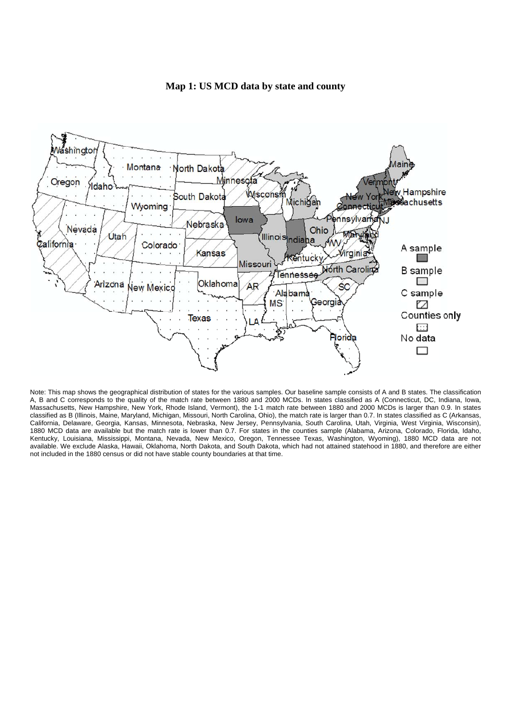

#### **Map 1: US MCD data by state and county**

Note: This map shows the geographical distribution of states for the various samples. Our baseline sample consists of A and B states. The classification A, B and C corresponds to the quality of the match rate between 1880 and 2000 MCDs. In states classified as A (Connecticut, DC, Indiana, Iowa, Massachusetts, New Hampshire, New York, Rhode Island, Vermont), the 1-1 match rate between 1880 and 2000 MCDs is larger than 0.9. In states classified as B (Illinois, Maine, Maryland, Michigan, Missouri, North Carolina, Ohio), the match rate is larger than 0.7. In states classified as C (Arkansas, California, Delaware, Georgia, Kansas, Minnesota, Nebraska, New Jersey, Pennsylvania, South Carolina, Utah, Virginia, West Virginia, Wisconsin), 1880 MCD data are available but the match rate is lower than 0.7. For states in the counties sample (Alabama, Arizona, Colorado, Florida, Idaho, Kentucky, Louisiana, Mississippi, Montana, Nevada, New Mexico, Oregon, Tennessee Texas, Washington, Wyoming), 1880 MCD data are not available. We exclude Alaska, Hawaii, Oklahoma, North Dakota, and South Dakota, which had not attained statehood in 1880, and therefore are either not included in the 1880 census or did not have stable county boundaries at that time.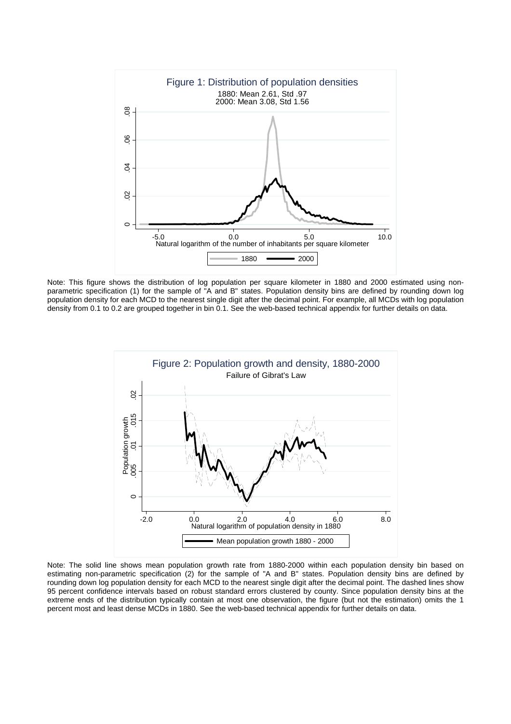

Note: This figure shows the distribution of log population per square kilometer in 1880 and 2000 estimated using nonparametric specification (1) for the sample of "A and B" states. Population density bins are defined by rounding down log population density for each MCD to the nearest single digit after the decimal point. For example, all MCDs with log population density from 0.1 to 0.2 are grouped together in bin 0.1. See the web-based technical appendix for further details on data.



Note: The solid line shows mean population growth rate from 1880-2000 within each population density bin based on estimating non-parametric specification (2) for the sample of "A and B" states. Population density bins are defined by rounding down log population density for each MCD to the nearest single digit after the decimal point. The dashed lines show 95 percent confidence intervals based on robust standard errors clustered by county. Since population density bins at the extreme ends of the distribution typically contain at most one observation, the figure (but not the estimation) omits the 1 percent most and least dense MCDs in 1880. See the web-based technical appendix for further details on data.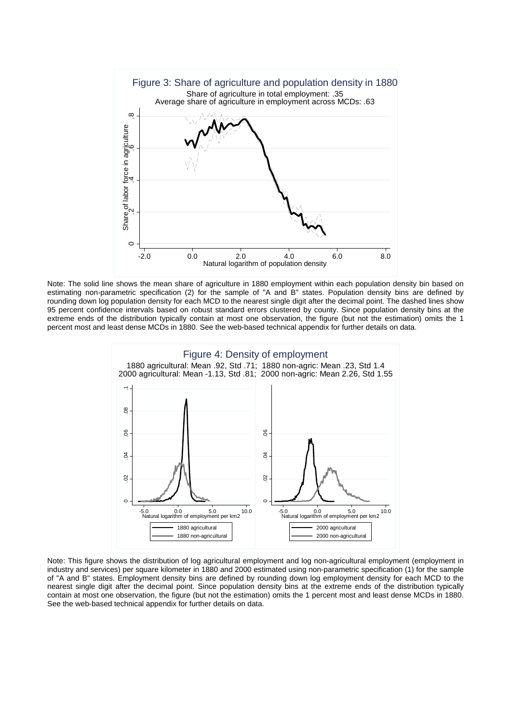

Note: The solid line shows the mean share of agriculture in 1880 employment within each population density bin based on estimating non-parametric specification (2) for the sample of "A and B" states. Population density bins are defined by rounding down log population density for each MCD to the nearest single digit after the decimal point. The dashed lines show 95 percent confidence intervals based on robust standard errors clustered by county. Since population density bins at the extreme ends of the distribution typically contain at most one observation, the figure (but not the estimation) omits the 1 percent most and least dense MCDs in 1880. See the web-based technical appendix for further details on data.



Note: This figure shows the distribution of log agricultural employment and log non-agricultural employment (employment in industry and services) per square kilometer in 1880 and 2000 estimated using non-parametric specification (1) for the sample of "A and B" states. Employment density bins are defined by rounding down log employment density for each MCD to the nearest single digit after the decimal point. Since population density bins at the extreme ends of the distribution typically contain at most one observation, the figure (but not the estimation) omits the 1 percent most and least dense MCDs in 1880. See the web-based technical appendix for further details on data.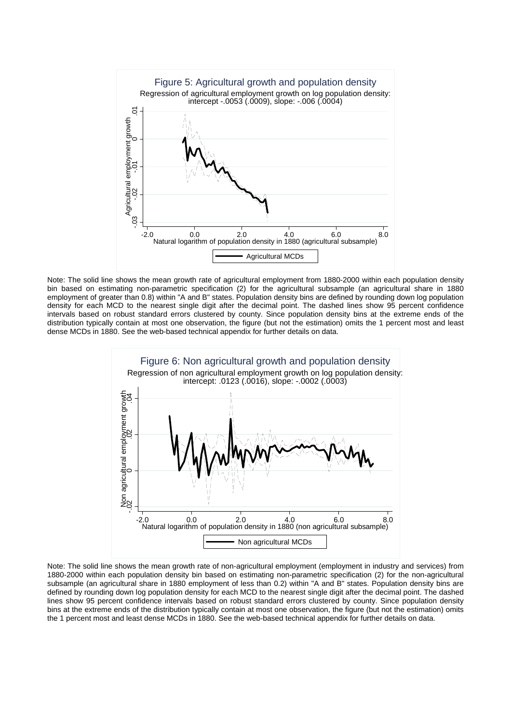

Note: The solid line shows the mean growth rate of agricultural employment from 1880-2000 within each population density bin based on estimating non-parametric specification (2) for the agricultural subsample (an agricultural share in 1880 employment of greater than 0.8) within "A and B" states. Population density bins are defined by rounding down log population density for each MCD to the nearest single digit after the decimal point. The dashed lines show 95 percent confidence intervals based on robust standard errors clustered by county. Since population density bins at the extreme ends of the distribution typically contain at most one observation, the figure (but not the estimation) omits the 1 percent most and least dense MCDs in 1880. See the web-based technical appendix for further details on data.



Note: The solid line shows the mean growth rate of non-agricultural employment (employment in industry and services) from 1880-2000 within each population density bin based on estimating non-parametric specification (2) for the non-agricultural subsample (an agricultural share in 1880 employment of less than 0.2) within "A and B" states. Population density bins are defined by rounding down log population density for each MCD to the nearest single digit after the decimal point. The dashed lines show 95 percent confidence intervals based on robust standard errors clustered by county. Since population density bins at the extreme ends of the distribution typically contain at most one observation, the figure (but not the estimation) omits the 1 percent most and least dense MCDs in 1880. See the web-based technical appendix for further details on data.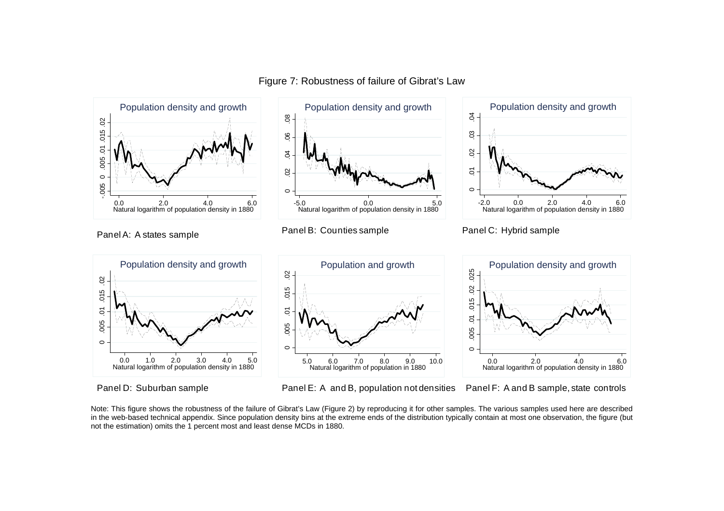

Figure 7: Robustness of failure of Gibrat's Law

Panel D: Suburban sample Panel E: A and B, population not densities Panel F: A and B sample, state controls

Note: This figure shows the robustness of the failure of Gibrat's Law (Figure 2) by reproducing it for other samples. The various samples used here are described in the web-based technical appendix. Since population density bins at the extreme ends of the distribution typically contain at most one observation, the figure (but not the estimation) omits the 1 percent most and least dense MCDs in 1880.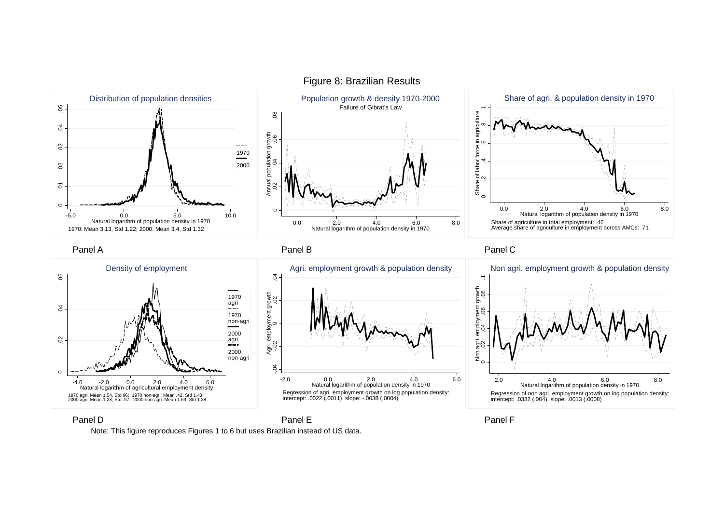

Figure 8: Brazilian Results

Panel D Panel E

Panel F

Note: This figure reproduces Figures 1 to 6 but uses Brazilian instead of US data.